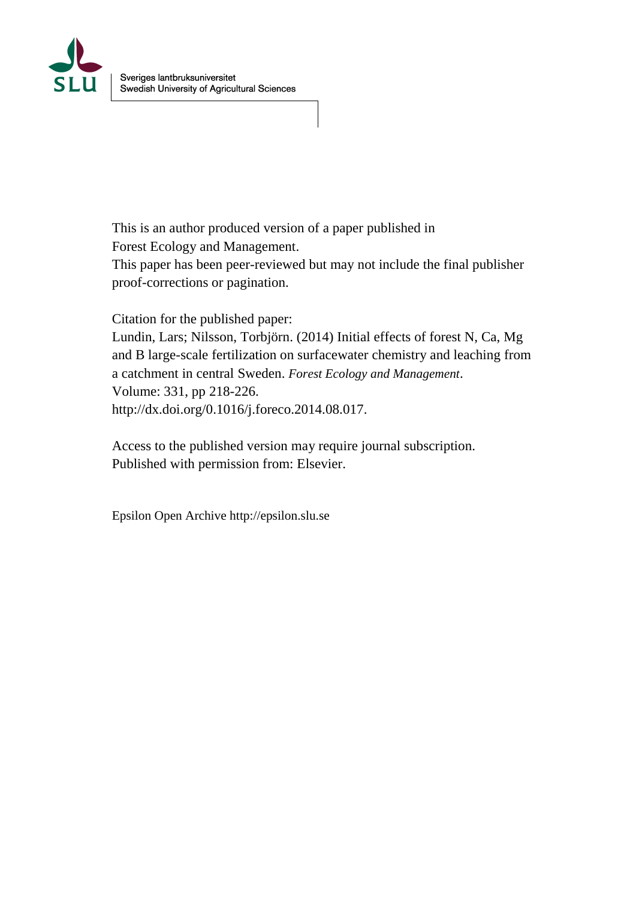

This is an author produced version of a paper published in Forest Ecology and Management.

This paper has been peer-reviewed but may not include the final publisher proof-corrections or pagination.

Citation for the published paper:

Lundin, Lars; Nilsson, Torbjörn. (2014) Initial effects of forest N, Ca, Mg and B large-scale fertilization on surfacewater chemistry and leaching from a catchment in central Sweden. *Forest Ecology and Management*. Volume: 331, pp 218-226. http://dx.doi.org/0.1016/j.foreco.2014.08.017.

Access to the published version may require journal subscription. Published with permission from: Elsevier.

Epsilon Open Archive http://epsilon.slu.se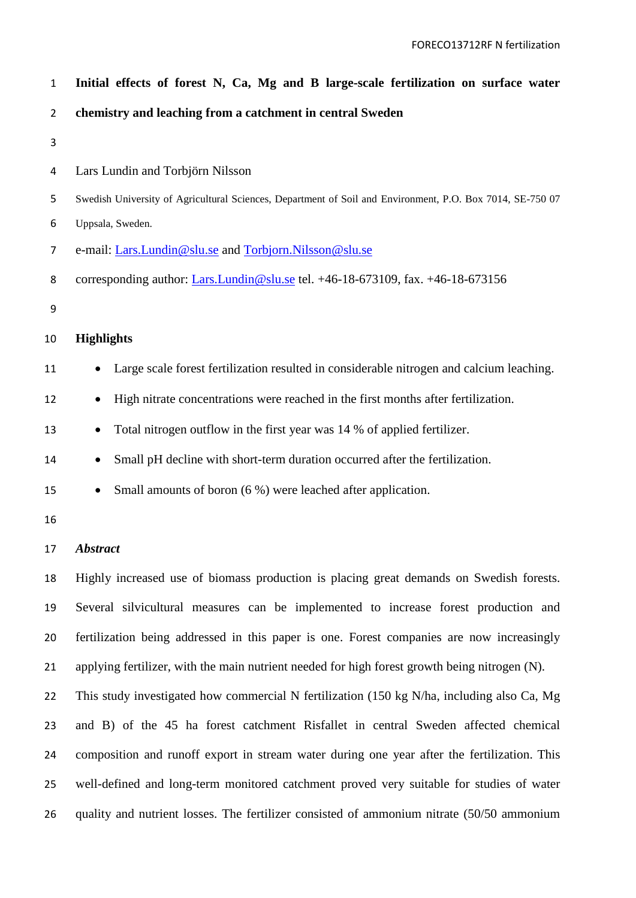| $\mathbf{1}$   | Initial effects of forest N, Ca, Mg and B large-scale fertilization on surface water                      |
|----------------|-----------------------------------------------------------------------------------------------------------|
| $\overline{2}$ | chemistry and leaching from a catchment in central Sweden                                                 |
| 3              |                                                                                                           |
| 4              | Lars Lundin and Torbjörn Nilsson                                                                          |
| 5              | Swedish University of Agricultural Sciences, Department of Soil and Environment, P.O. Box 7014, SE-750 07 |
| 6              | Uppsala, Sweden.                                                                                          |
| 7              | e-mail: Lars.Lundin@slu.se and Torbjorn.Nilsson@slu.se                                                    |
| 8              | corresponding author: <i>Lars.Lundin@slu.se</i> tel. +46-18-673109, fax. +46-18-673156                    |
| 9              |                                                                                                           |
| 10             | <b>Highlights</b>                                                                                         |
| 11             | Large scale forest fertilization resulted in considerable nitrogen and calcium leaching.                  |
| 12             | High nitrate concentrations were reached in the first months after fertilization.                         |
| 13             | Total nitrogen outflow in the first year was 14 % of applied fertilizer.                                  |
| 14             | Small pH decline with short-term duration occurred after the fertilization.                               |
| 15             | Small amounts of boron (6 %) were leached after application.                                              |
| 16             |                                                                                                           |
| 17             | <b>Abstract</b>                                                                                           |
| 18             | Highly increased use of biomass production is placing great demands on Swedish forests.                   |
| 19             | Several silvicultural measures can be implemented to increase forest production and                       |
| 20             | fertilization being addressed in this paper is one. Forest companies are now increasingly                 |

applying fertilizer, with the main nutrient needed for high forest growth being nitrogen (N).

22 This study investigated how commercial N fertilization (150 kg N/ha, including also Ca, Mg and B) of the 45 ha forest catchment Risfallet in central Sweden affected chemical composition and runoff export in stream water during one year after the fertilization. This well-defined and long-term monitored catchment proved very suitable for studies of water quality and nutrient losses. The fertilizer consisted of ammonium nitrate (50/50 ammonium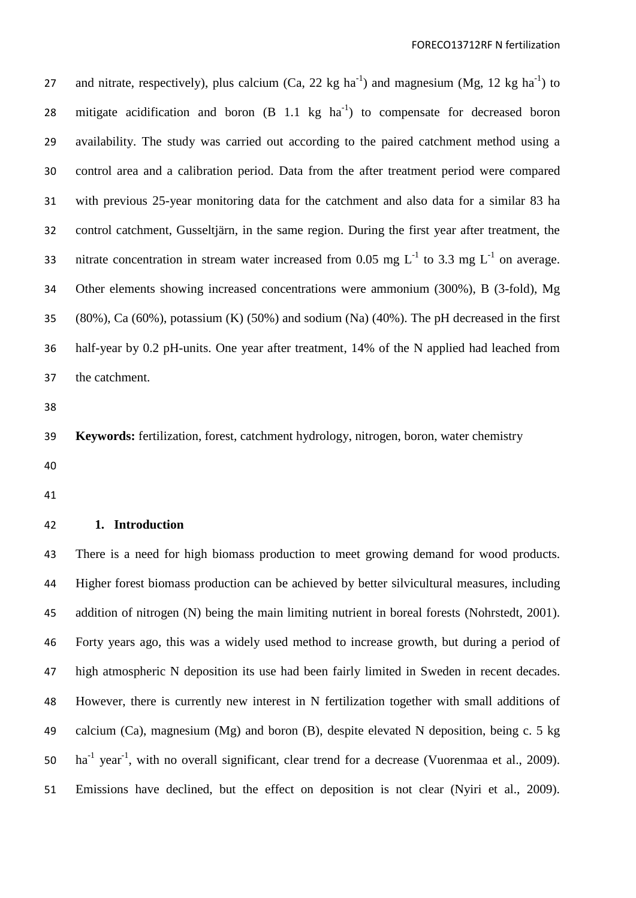27 and nitrate, respectively), plus calcium  $(Ca, 22 \text{ kg ha}^{-1})$  and magnesium  $(Mg, 12 \text{ kg ha}^{-1})$  to 28 mitigate acidification and boron  $(B \ 1.1 \ kg \ ha^{-1})$  to compensate for decreased boron availability. The study was carried out according to the paired catchment method using a control area and a calibration period. Data from the after treatment period were compared with previous 25-year monitoring data for the catchment and also data for a similar 83 ha control catchment, Gusseltjärn, in the same region. During the first year after treatment, the 33 nitrate concentration in stream water increased from 0.05 mg  $L^{-1}$  to 3.3 mg  $L^{-1}$  on average. Other elements showing increased concentrations were ammonium (300%), B (3-fold), Mg (80%), Ca (60%), potassium (K) (50%) and sodium (Na) (40%). The pH decreased in the first half-year by 0.2 pH-units. One year after treatment, 14% of the N applied had leached from the catchment.

**Keywords:** fertilization, forest, catchment hydrology, nitrogen, boron, water chemistry

- 
- 

### **1. Introduction**

 There is a need for high biomass production to meet growing demand for wood products. Higher forest biomass production can be achieved by better silvicultural measures, including 45 addition of nitrogen (N) being the main limiting nutrient in boreal forests (Nohrstedt, 2001). Forty years ago, this was a widely used method to increase growth, but during a period of high atmospheric N deposition its use had been fairly limited in Sweden in recent decades. However, there is currently new interest in N fertilization together with small additions of calcium (Ca), magnesium (Mg) and boron (B), despite elevated N deposition, being c. 5 kg  $\mu$  ha<sup>-1</sup> year<sup>-1</sup>, with no overall significant, clear trend for a decrease (Vuorenmaa et al., 2009). Emissions have declined, but the effect on deposition is not clear (Nyiri et al., 2009).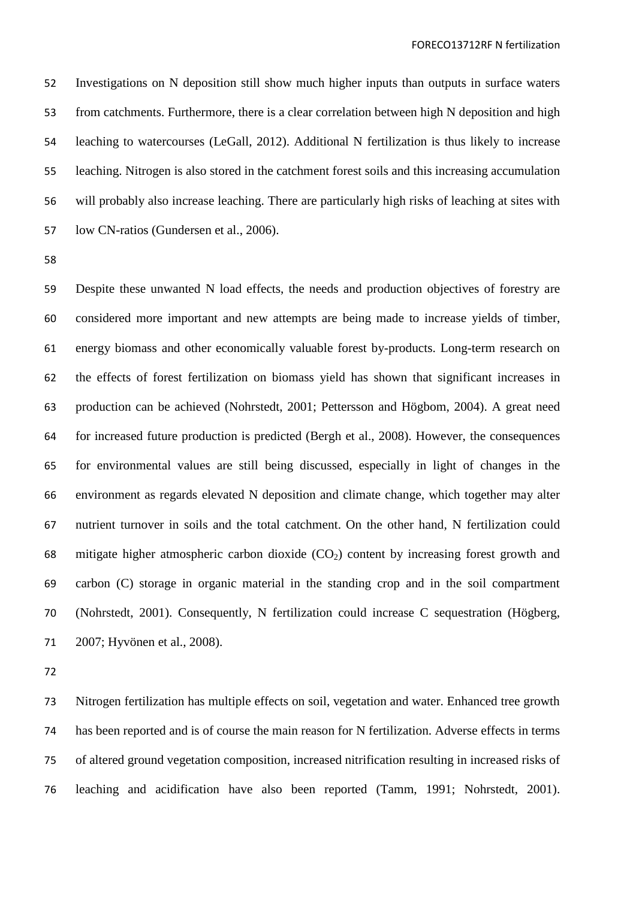Investigations on N deposition still show much higher inputs than outputs in surface waters from catchments. Furthermore, there is a clear correlation between high N deposition and high leaching to watercourses (LeGall, 2012). Additional N fertilization is thus likely to increase leaching. Nitrogen is also stored in the catchment forest soils and this increasing accumulation will probably also increase leaching. There are particularly high risks of leaching at sites with low CN-ratios (Gundersen et al., 2006).

 Despite these unwanted N load effects, the needs and production objectives of forestry are considered more important and new attempts are being made to increase yields of timber, energy biomass and other economically valuable forest by-products. Long-term research on the effects of forest fertilization on biomass yield has shown that significant increases in production can be achieved (Nohrstedt, 2001; Pettersson and Högbom, 2004). A great need for increased future production is predicted (Bergh et al., 2008). However, the consequences for environmental values are still being discussed, especially in light of changes in the environment as regards elevated N deposition and climate change, which together may alter nutrient turnover in soils and the total catchment. On the other hand, N fertilization could 68 mitigate higher atmospheric carbon dioxide  $(CO_2)$  content by increasing forest growth and carbon (C) storage in organic material in the standing crop and in the soil compartment (Nohrstedt, 2001). Consequently, N fertilization could increase C sequestration (Högberg, 2007; Hyvönen et al., 2008).

 Nitrogen fertilization has multiple effects on soil, vegetation and water. Enhanced tree growth has been reported and is of course the main reason for N fertilization. Adverse effects in terms of altered ground vegetation composition, increased nitrification resulting in increased risks of leaching and acidification have also been reported (Tamm, 1991; Nohrstedt, 2001).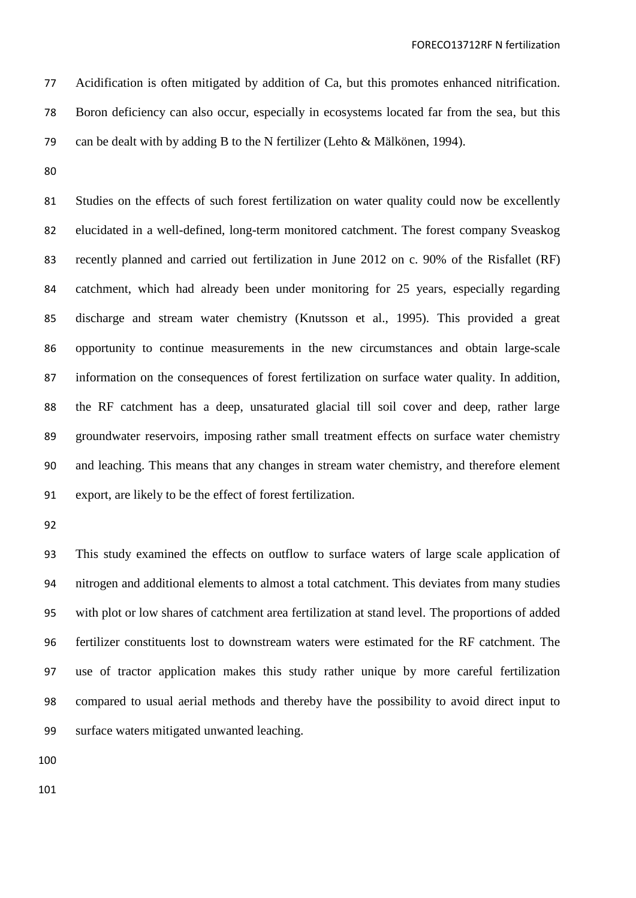Acidification is often mitigated by addition of Ca, but this promotes enhanced nitrification. Boron deficiency can also occur, especially in ecosystems located far from the sea, but this can be dealt with by adding B to the N fertilizer (Lehto & Mälkönen, 1994).

 Studies on the effects of such forest fertilization on water quality could now be excellently elucidated in a well-defined, long-term monitored catchment. The forest company Sveaskog recently planned and carried out fertilization in June 2012 on c. 90% of the Risfallet (RF) catchment, which had already been under monitoring for 25 years, especially regarding discharge and stream water chemistry (Knutsson et al., 1995). This provided a great opportunity to continue measurements in the new circumstances and obtain large-scale information on the consequences of forest fertilization on surface water quality. In addition, the RF catchment has a deep, unsaturated glacial till soil cover and deep, rather large groundwater reservoirs, imposing rather small treatment effects on surface water chemistry and leaching. This means that any changes in stream water chemistry, and therefore element export, are likely to be the effect of forest fertilization.

 This study examined the effects on outflow to surface waters of large scale application of nitrogen and additional elements to almost a total catchment. This deviates from many studies with plot or low shares of catchment area fertilization at stand level. The proportions of added fertilizer constituents lost to downstream waters were estimated for the RF catchment. The use of tractor application makes this study rather unique by more careful fertilization compared to usual aerial methods and thereby have the possibility to avoid direct input to surface waters mitigated unwanted leaching.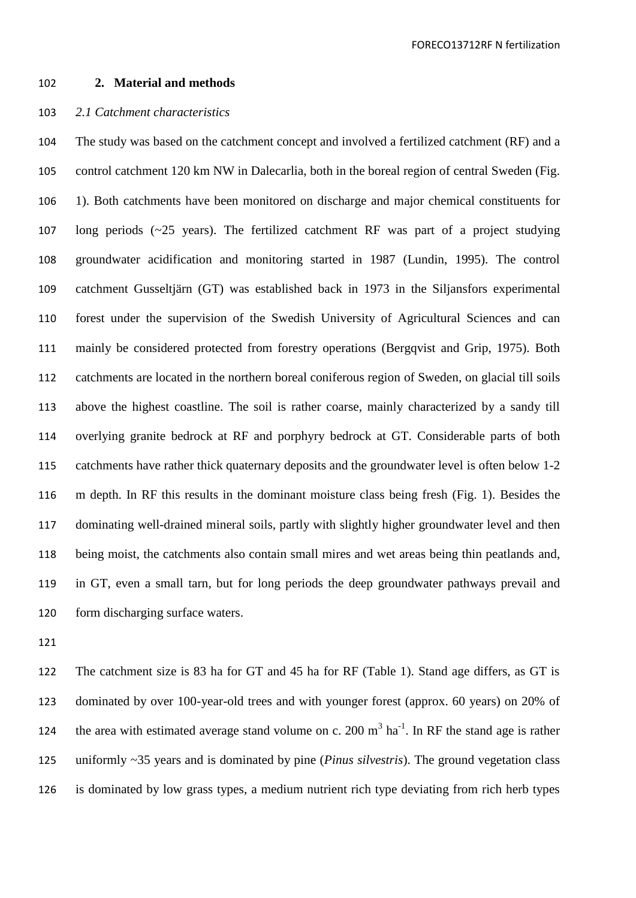#### **2. Material and methods**

## *2.1 Catchment characteristics*

 The study was based on the catchment concept and involved a fertilized catchment (RF) and a control catchment 120 km NW in Dalecarlia, both in the boreal region of central Sweden (Fig. 1). Both catchments have been monitored on discharge and major chemical constituents for long periods (~25 years). The fertilized catchment RF was part of a project studying groundwater acidification and monitoring started in 1987 (Lundin, 1995). The control catchment Gusseltjärn (GT) was established back in 1973 in the Siljansfors experimental forest under the supervision of the Swedish University of Agricultural Sciences and can mainly be considered protected from forestry operations (Bergqvist and Grip, 1975). Both catchments are located in the northern boreal coniferous region of Sweden, on glacial till soils above the highest coastline. The soil is rather coarse, mainly characterized by a sandy till overlying granite bedrock at RF and porphyry bedrock at GT. Considerable parts of both catchments have rather thick quaternary deposits and the groundwater level is often below 1-2 m depth. In RF this results in the dominant moisture class being fresh (Fig. 1). Besides the dominating well-drained mineral soils, partly with slightly higher groundwater level and then being moist, the catchments also contain small mires and wet areas being thin peatlands and, in GT, even a small tarn, but for long periods the deep groundwater pathways prevail and form discharging surface waters.

 The catchment size is 83 ha for GT and 45 ha for RF (Table 1). Stand age differs, as GT is dominated by over 100-year-old trees and with younger forest (approx. 60 years) on 20% of 124 the area with estimated average stand volume on c. 200  $m^3$  ha<sup>-1</sup>. In RF the stand age is rather uniformly ~35 years and is dominated by pine (*Pinus silvestris*). The ground vegetation class is dominated by low grass types, a medium nutrient rich type deviating from rich herb types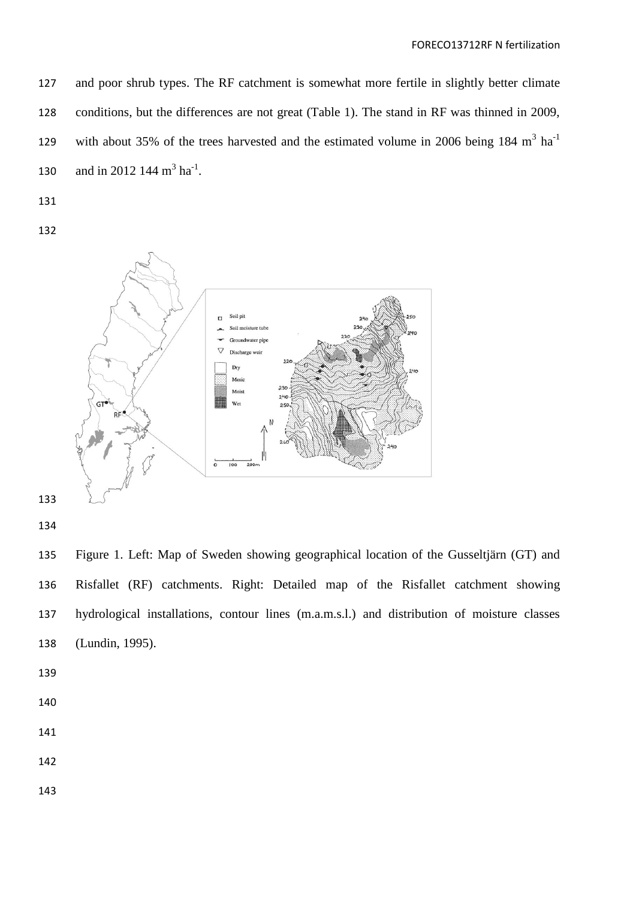and poor shrub types. The RF catchment is somewhat more fertile in slightly better climate conditions, but the differences are not great (Table 1). The stand in RF was thinned in 2009, with about 35% of the trees harvested and the estimated volume in 2006 being 184  $m<sup>3</sup>$  ha<sup>-1</sup> 130 and in 2012 144  $m^3$  ha<sup>-1</sup>.

- 
- 



- 
- 

 Figure 1. Left: Map of Sweden showing geographical location of the Gusseltjärn (GT) and Risfallet (RF) catchments. Right: Detailed map of the Risfallet catchment showing hydrological installations, contour lines (m.a.m.s.l.) and distribution of moisture classes (Lundin, 1995).

- 
- 
- 
- 
-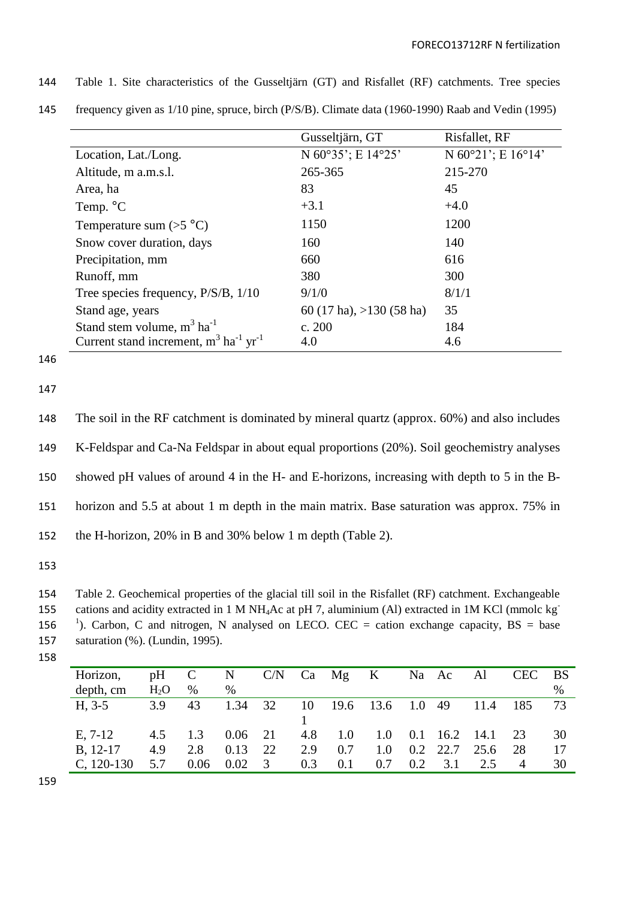|                                                                  | Gusseltjärn, GT            | Risfallet, RF                          |
|------------------------------------------------------------------|----------------------------|----------------------------------------|
| Location, Lat./Long.                                             | N 60°35'; E 14°25'         | N $60^{\circ}21$ '; E $16^{\circ}14$ ' |
| Altitude, m a.m.s.l.                                             | 265-365                    | 215-270                                |
| Area, ha                                                         | 83                         | 45                                     |
| Temp. °C                                                         | $+3.1$                     | $+4.0$                                 |
| Temperature sum $(>5$ °C)                                        | 1150                       | 1200                                   |
| Snow cover duration, days                                        | 160                        | 140                                    |
| Precipitation, mm                                                | 660                        | 616                                    |
| Runoff, mm                                                       | 380                        | 300                                    |
| Tree species frequency, P/S/B, 1/10                              | 9/1/0                      | 8/1/1                                  |
| Stand age, years                                                 | 60 (17 ha), $>130$ (58 ha) | 35                                     |
| Stand stem volume, $m^3$ ha <sup>-1</sup>                        | c. 200                     | 184                                    |
| Current stand increment, $m^3$ ha <sup>-1</sup> yr <sup>-1</sup> | 4.0                        | 4.6                                    |

144 Table 1. Site characteristics of the Gusseltjärn (GT) and Risfallet (RF) catchments. Tree species

145 frequency given as 1/10 pine, spruce, birch (P/S/B). Climate data (1960-1990) Raab and Vedin (1995)

146

147

 The soil in the RF catchment is dominated by mineral quartz (approx. 60%) and also includes K-Feldspar and Ca-Na Feldspar in about equal proportions (20%). Soil geochemistry analyses showed pH values of around 4 in the H- and E-horizons, increasing with depth to 5 in the B- horizon and 5.5 at about 1 m depth in the main matrix. Base saturation was approx. 75% in the H-horizon, 20% in B and 30% below 1 m depth (Table 2).

153

154 Table 2. Geochemical properties of the glacial till soil in the Risfallet (RF) catchment. Exchangeable cations and acidity extracted in 1 M NH4Ac at pH 7, aluminium (Al) extracted in 1M KCl (mmolc kg-155 156 <sup>1</sup>). Carbon, C and nitrogen, N analysed on LECO. CEC = cation exchange capacity, BS = base 157 saturation (%). (Lundin, 1995).

158

| Horizon,         | pH     | $\mathbf C$ | N    | C/N                     |     | Ca Mg K |               |     | Na Ac | Al        | <b>CEC</b>     | BS   |
|------------------|--------|-------------|------|-------------------------|-----|---------|---------------|-----|-------|-----------|----------------|------|
| depth, cm        | $H_2O$ | $\%$        | $\%$ |                         |     |         |               |     |       |           |                | $\%$ |
| $H, 3-5$         | 3.9    | 43          | 1.34 | 32                      | 10  |         | 19.6 13.6 1.0 |     | -49   | 11.4      | -185           | 73   |
|                  |        |             |      |                         |     |         |               |     |       |           |                |      |
| $E, 7-12$        | 4.5    | 1.3         | 0.06 | 21                      | 4.8 | 1.0     | 1.0           | 0.1 |       | 16.2 14.1 | 23             | 30   |
| <b>B</b> , 12-17 | 4.9    | 2.8         | 0.13 | 22                      | 2.9 | 0.7     | 1.0           | 0.2 | 22.7  | 25.6      | 28             | 17   |
| $C, 120-130$     | 5.7    | 0.06        | 0.02 | $\overline{\mathbf{3}}$ | 0.3 | 0.1     | 0.7           | 0.2 | 3.1   | 2.5       | $\overline{4}$ | 30   |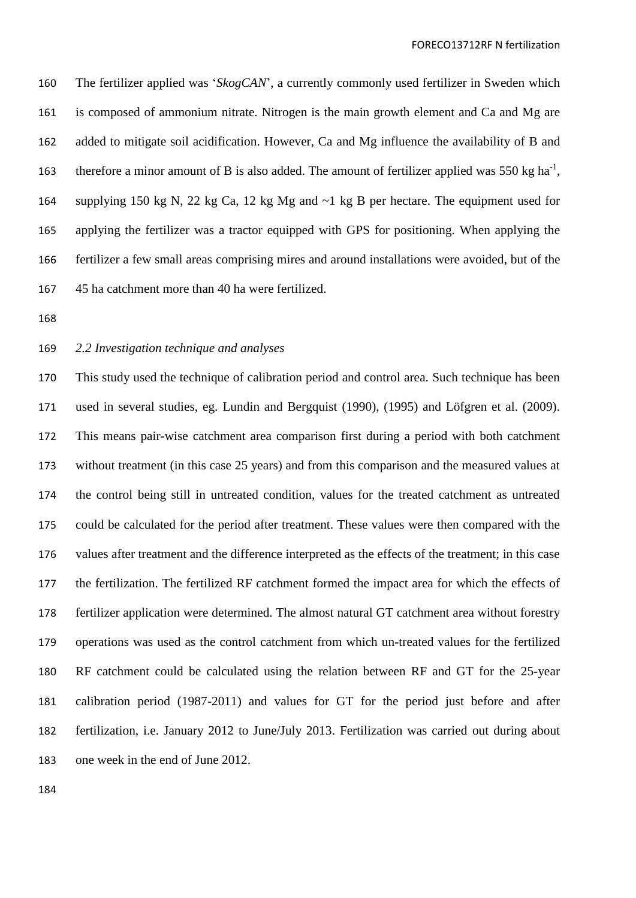The fertilizer applied was '*SkogCAN*', a currently commonly used fertilizer in Sweden which is composed of ammonium nitrate. Nitrogen is the main growth element and Ca and Mg are added to mitigate soil acidification. However, Ca and Mg influence the availability of B and 163 therefore a minor amount of B is also added. The amount of fertilizer applied was 550 kg ha<sup>-1</sup>, supplying 150 kg N, 22 kg Ca, 12 kg Mg and ~1 kg B per hectare. The equipment used for applying the fertilizer was a tractor equipped with GPS for positioning. When applying the fertilizer a few small areas comprising mires and around installations were avoided, but of the 45 ha catchment more than 40 ha were fertilized.

# *2.2 Investigation technique and analyses*

 This study used the technique of calibration period and control area. Such technique has been used in several studies, eg. Lundin and Bergquist (1990), (1995) and Löfgren et al. (2009). This means pair-wise catchment area comparison first during a period with both catchment without treatment (in this case 25 years) and from this comparison and the measured values at the control being still in untreated condition, values for the treated catchment as untreated could be calculated for the period after treatment. These values were then compared with the values after treatment and the difference interpreted as the effects of the treatment; in this case the fertilization. The fertilized RF catchment formed the impact area for which the effects of fertilizer application were determined. The almost natural GT catchment area without forestry operations was used as the control catchment from which un-treated values for the fertilized RF catchment could be calculated using the relation between RF and GT for the 25-year calibration period (1987-2011) and values for GT for the period just before and after fertilization, i.e. January 2012 to June/July 2013. Fertilization was carried out during about one week in the end of June 2012.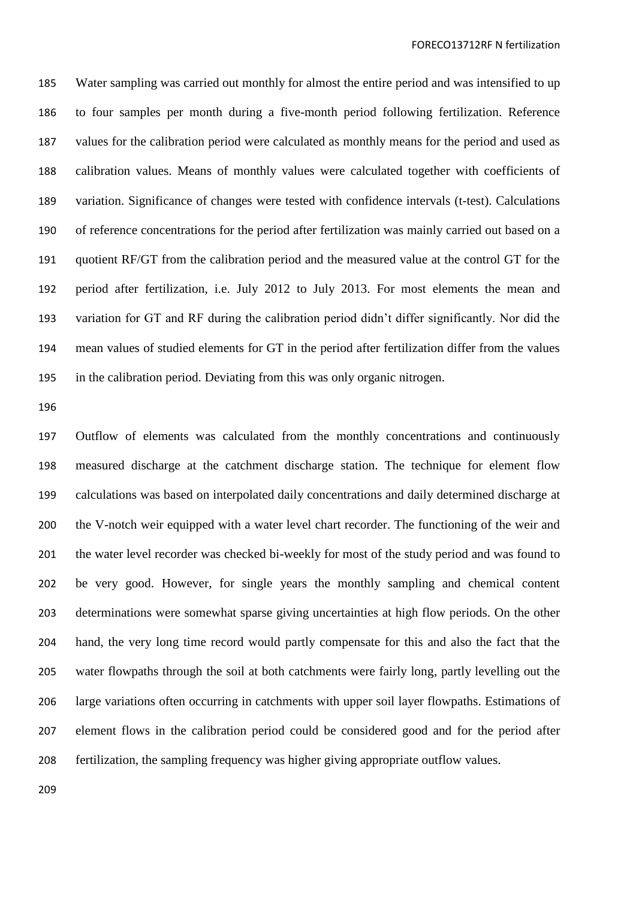Water sampling was carried out monthly for almost the entire period and was intensified to up to four samples per month during a five-month period following fertilization. Reference values for the calibration period were calculated as monthly means for the period and used as calibration values. Means of monthly values were calculated together with coefficients of variation. Significance of changes were tested with confidence intervals (t-test). Calculations of reference concentrations for the period after fertilization was mainly carried out based on a quotient RF/GT from the calibration period and the measured value at the control GT for the period after fertilization, i.e. July 2012 to July 2013. For most elements the mean and variation for GT and RF during the calibration period didn't differ significantly. Nor did the mean values of studied elements for GT in the period after fertilization differ from the values in the calibration period. Deviating from this was only organic nitrogen.

 Outflow of elements was calculated from the monthly concentrations and continuously measured discharge at the catchment discharge station. The technique for element flow calculations was based on interpolated daily concentrations and daily determined discharge at the V-notch weir equipped with a water level chart recorder. The functioning of the weir and the water level recorder was checked bi-weekly for most of the study period and was found to be very good. However, for single years the monthly sampling and chemical content determinations were somewhat sparse giving uncertainties at high flow periods. On the other hand, the very long time record would partly compensate for this and also the fact that the water flowpaths through the soil at both catchments were fairly long, partly levelling out the large variations often occurring in catchments with upper soil layer flowpaths. Estimations of element flows in the calibration period could be considered good and for the period after fertilization, the sampling frequency was higher giving appropriate outflow values.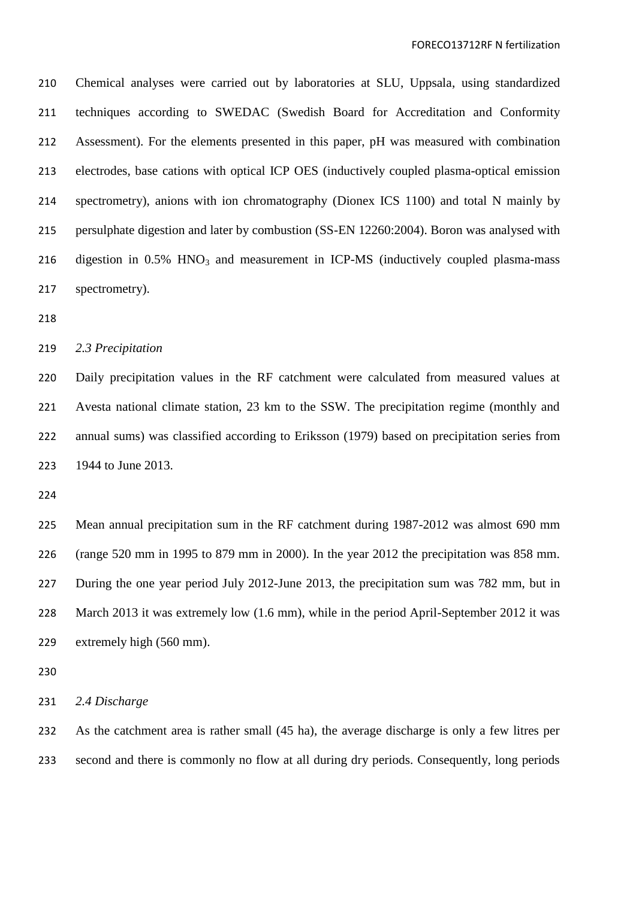Chemical analyses were carried out by laboratories at SLU, Uppsala, using standardized techniques according to SWEDAC (Swedish Board for Accreditation and Conformity Assessment). For the elements presented in this paper, pH was measured with combination electrodes, base cations with optical ICP OES (inductively coupled plasma-optical emission spectrometry), anions with ion chromatography (Dionex ICS 1100) and total N mainly by persulphate digestion and later by combustion (SS-EN 12260:2004). Boron was analysed with 216 digestion in  $0.5\%$  HNO<sub>3</sub> and measurement in ICP-MS (inductively coupled plasma-mass spectrometry).

### *2.3 Precipitation*

 Daily precipitation values in the RF catchment were calculated from measured values at Avesta national climate station, 23 km to the SSW. The precipitation regime (monthly and annual sums) was classified according to Eriksson (1979) based on precipitation series from 1944 to June 2013.

 Mean annual precipitation sum in the RF catchment during 1987-2012 was almost 690 mm (range 520 mm in 1995 to 879 mm in 2000). In the year 2012 the precipitation was 858 mm. During the one year period July 2012-June 2013, the precipitation sum was 782 mm, but in March 2013 it was extremely low (1.6 mm), while in the period April-September 2012 it was extremely high (560 mm).

*2.4 Discharge*

 As the catchment area is rather small (45 ha), the average discharge is only a few litres per second and there is commonly no flow at all during dry periods. Consequently, long periods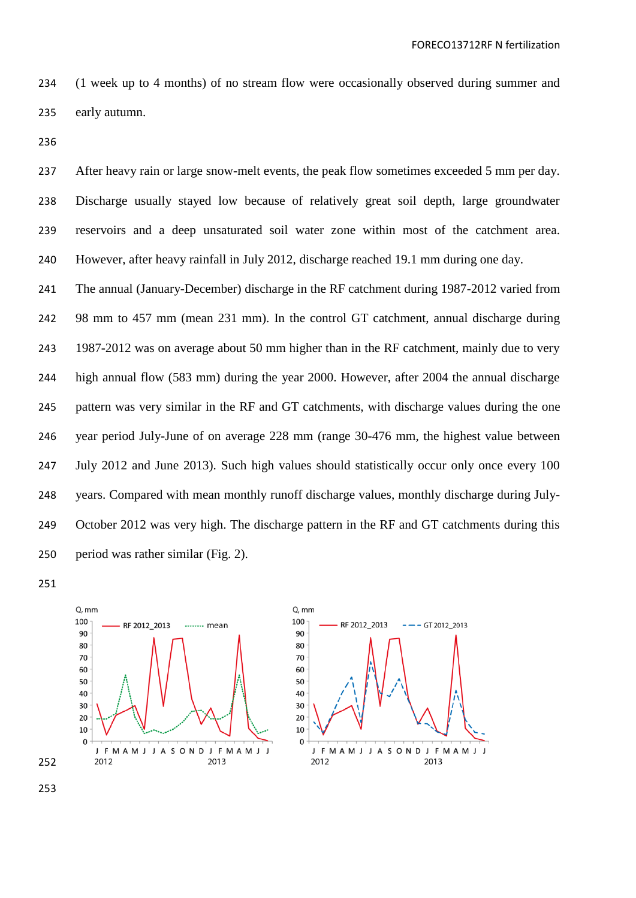(1 week up to 4 months) of no stream flow were occasionally observed during summer and early autumn.

237 After heavy rain or large snow-melt events, the peak flow sometimes exceeded 5 mm per day. Discharge usually stayed low because of relatively great soil depth, large groundwater reservoirs and a deep unsaturated soil water zone within most of the catchment area. However, after heavy rainfall in July 2012, discharge reached 19.1 mm during one day.

 The annual (January-December) discharge in the RF catchment during 1987-2012 varied from 98 mm to 457 mm (mean 231 mm). In the control GT catchment, annual discharge during 1987-2012 was on average about 50 mm higher than in the RF catchment, mainly due to very high annual flow (583 mm) during the year 2000. However, after 2004 the annual discharge pattern was very similar in the RF and GT catchments, with discharge values during the one year period July-June of on average 228 mm (range 30-476 mm, the highest value between July 2012 and June 2013). Such high values should statistically occur only once every 100 years. Compared with mean monthly runoff discharge values, monthly discharge during July-249 October 2012 was very high. The discharge pattern in the RF and GT catchments during this period was rather similar (Fig. 2).

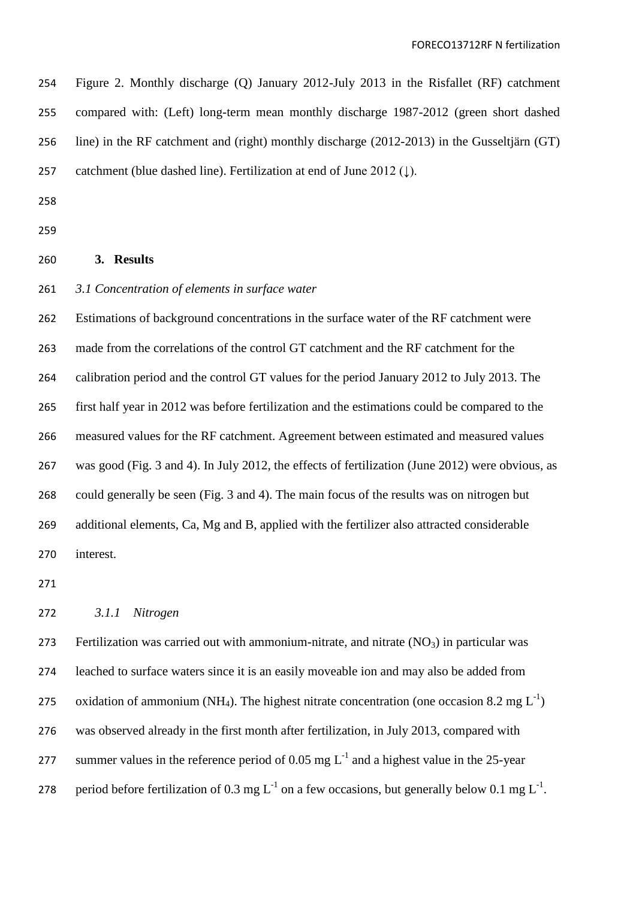| 254 | Figure 2. Monthly discharge (Q) January 2012-July 2013 in the Risfallet (RF) catchment      |
|-----|---------------------------------------------------------------------------------------------|
| 255 | compared with: (Left) long-term mean monthly discharge 1987-2012 (green short dashed        |
| 256 | line) in the RF catchment and (right) monthly discharge (2012-2013) in the Gusseltjärn (GT) |
| 257 | catchment (blue dashed line). Fertilization at end of June 2012 ( $\downarrow$ ).           |

## **3. Results**

### *3.1 Concentration of elements in surface water*

 Estimations of background concentrations in the surface water of the RF catchment were made from the correlations of the control GT catchment and the RF catchment for the calibration period and the control GT values for the period January 2012 to July 2013. The first half year in 2012 was before fertilization and the estimations could be compared to the measured values for the RF catchment. Agreement between estimated and measured values was good (Fig. 3 and 4). In July 2012, the effects of fertilization (June 2012) were obvious, as could generally be seen (Fig. 3 and 4). The main focus of the results was on nitrogen but additional elements, Ca, Mg and B, applied with the fertilizer also attracted considerable interest.

## *3.1.1 Nitrogen*

273 Fertilization was carried out with ammonium-nitrate, and nitrate  $(NO_3)$  in particular was leached to surface waters since it is an easily moveable ion and may also be added from 275 oxidation of ammonium (NH<sub>4</sub>). The highest nitrate concentration (one occasion 8.2 mg  $L^{-1}$ ) was observed already in the first month after fertilization, in July 2013, compared with 277 summer values in the reference period of 0.05 mg  $L^{-1}$  and a highest value in the 25-year 278 period before fertilization of 0.3 mg  $L^{-1}$  on a few occasions, but generally below 0.1 mg  $L^{-1}$ .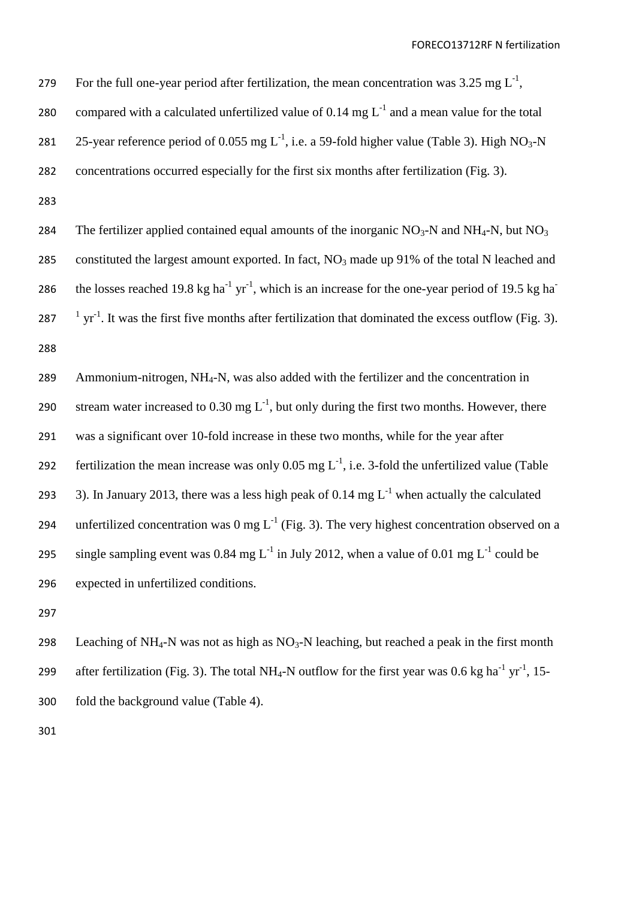279 For the full one-year period after fertilization, the mean concentration was 3.25 mg  $L^{-1}$ ,

- 280 compared with a calculated unfertilized value of 0.14 mg  $L^{-1}$  and a mean value for the total
- 281 25-year reference period of 0.055 mg  $L^{-1}$ , i.e. a 59-fold higher value (Table 3). High NO<sub>3</sub>-N
- 282 concentrations occurred especially for the first six months after fertilization (Fig. 3).

283

284 The fertilizer applied contained equal amounts of the inorganic  $NO_3-N$  and  $NH_4-N$ , but  $NO_3$ 285 constituted the largest amount exported. In fact,  $NO_3$  made up 91% of the total N leached and the losses reached 19.8 kg ha<sup>-1</sup> yr<sup>-1</sup>, which is an increase for the one-year period of 19.5 kg ha<sup>-1</sup> 286 287  $\frac{1}{1}$  yr<sup>-1</sup>. It was the first five months after fertilization that dominated the excess outflow (Fig. 3). 288

289 Ammonium-nitrogen, NH4-N, was also added with the fertilizer and the concentration in 290 stream water increased to 0.30 mg  $L^{-1}$ , but only during the first two months. However, there 291 was a significant over 10-fold increase in these two months, while for the year after 292 fertilization the mean increase was only 0.05 mg  $L^{-1}$ , i.e. 3-fold the unfertilized value (Table 293 3). In January 2013, there was a less high peak of 0.14 mg  $L^{-1}$  when actually the calculated 294 unfertilized concentration was 0 mg  $L^{-1}$  (Fig. 3). The very highest concentration observed on a 295 single sampling event was 0.84 mg  $L^{-1}$  in July 2012, when a value of 0.01 mg  $L^{-1}$  could be 296 expected in unfertilized conditions.

297

298 Leaching of NH<sub>4</sub>-N was not as high as  $NO_3-N$  leaching, but reached a peak in the first month 299 after fertilization (Fig. 3). The total NH<sub>4</sub>-N outflow for the first year was 0.6 kg ha<sup>-1</sup> yr<sup>-1</sup>, 15-300 fold the background value (Table 4).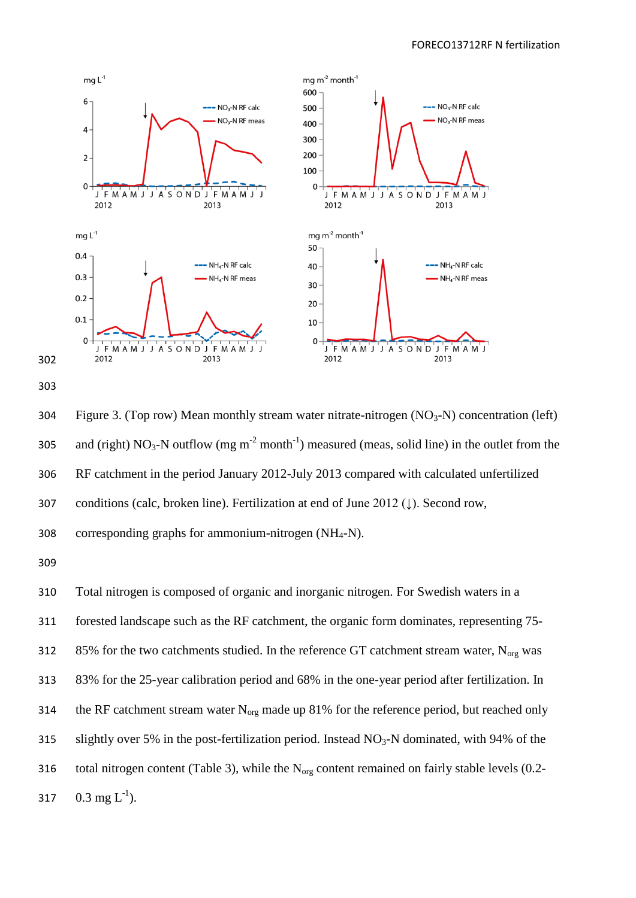



304 Figure 3. (Top row) Mean monthly stream water nitrate-nitrogen  $(NO<sub>3</sub>-N)$  concentration (left) 305 and (right)  $NO_3$ -N outflow (mg m<sup>-2</sup> month<sup>-1</sup>) measured (meas, solid line) in the outlet from the 306 RF catchment in the period January 2012-July 2013 compared with calculated unfertilized 307 conditions (calc, broken line). Fertilization at end of June 2012 (↓). Second row, 308 corresponding graphs for ammonium-nitrogen  $(NH_4-N)$ .

310 Total nitrogen is composed of organic and inorganic nitrogen. For Swedish waters in a 311 forested landscape such as the RF catchment, the organic form dominates, representing 75- 312 85% for the two catchments studied. In the reference GT catchment stream water,  $N_{\text{org}}$  was 313 83% for the 25-year calibration period and 68% in the one-year period after fertilization. In 314 the RF catchment stream water  $N_{org}$  made up 81% for the reference period, but reached only 315 slightly over 5% in the post-fertilization period. Instead  $NO<sub>3</sub>-N$  dominated, with 94% of the 316 total nitrogen content (Table 3), while the  $N_{org}$  content remained on fairly stable levels (0.2-317 0.3 mg  $L^{-1}$ ).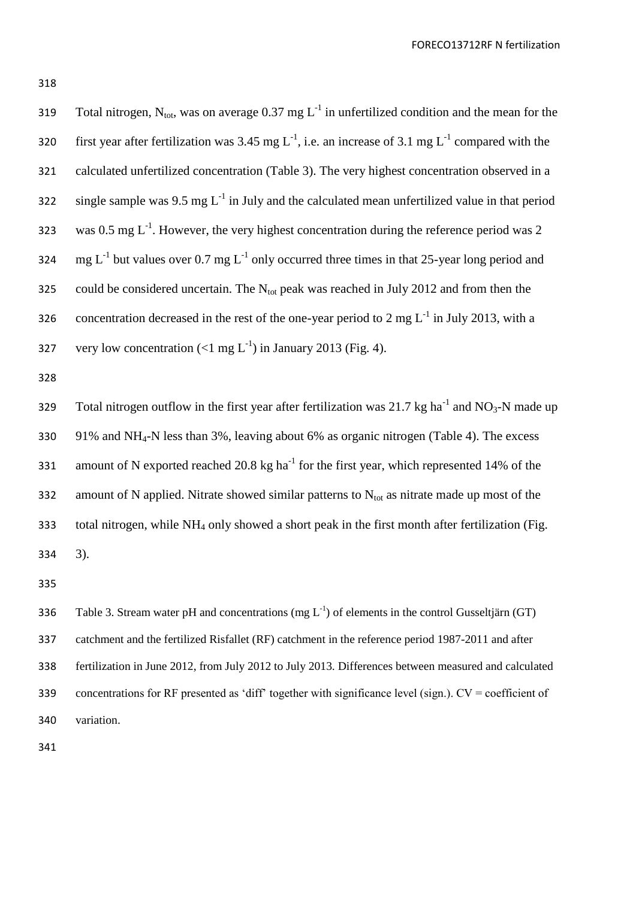319 Total nitrogen, N<sub>tot</sub>, was on average 0.37 mg  $L^{-1}$  in unfertilized condition and the mean for the 320 first year after fertilization was 3.45 mg  $L^{-1}$ , i.e. an increase of 3.1 mg  $L^{-1}$  compared with the 321 calculated unfertilized concentration (Table 3). The very highest concentration observed in a 322 single sample was  $9.5 \text{ mg } L^{-1}$  in July and the calculated mean unfertilized value in that period 323 was 0.5 mg  $L^{-1}$ . However, the very highest concentration during the reference period was 2 324 mg  $L^{-1}$  but values over 0.7 mg  $L^{-1}$  only occurred three times in that 25-year long period and 325 could be considered uncertain. The  $N_{\text{tot}}$  peak was reached in July 2012 and from then the 326 concentration decreased in the rest of the one-year period to 2 mg  $L^{-1}$  in July 2013, with a 327 very low concentration  $(<1$  mg  $L^{-1}$ ) in January 2013 (Fig. 4).

328

329 Total nitrogen outflow in the first year after fertilization was 21.7 kg ha<sup>-1</sup> and NO<sub>3</sub>-N made up 330 91% and NH4-N less than 3%, leaving about 6% as organic nitrogen (Table 4). The excess 331 amount of N exported reached 20.8 kg ha<sup>-1</sup> for the first year, which represented 14% of the 332 amount of N applied. Nitrate showed similar patterns to  $N_{tot}$  as nitrate made up most of the 333 total nitrogen, while  $NH_4$  only showed a short peak in the first month after fertilization (Fig. 334 3).

335

336 Table 3. Stream water pH and concentrations  $(mg L^{-1})$  of elements in the control Gusseltjärn (GT) catchment and the fertilized Risfallet (RF) catchment in the reference period 1987-2011 and after fertilization in June 2012, from July 2012 to July 2013. Differences between measured and calculated concentrations for RF presented as 'diff' together with significance level (sign.). CV = coefficient of variation.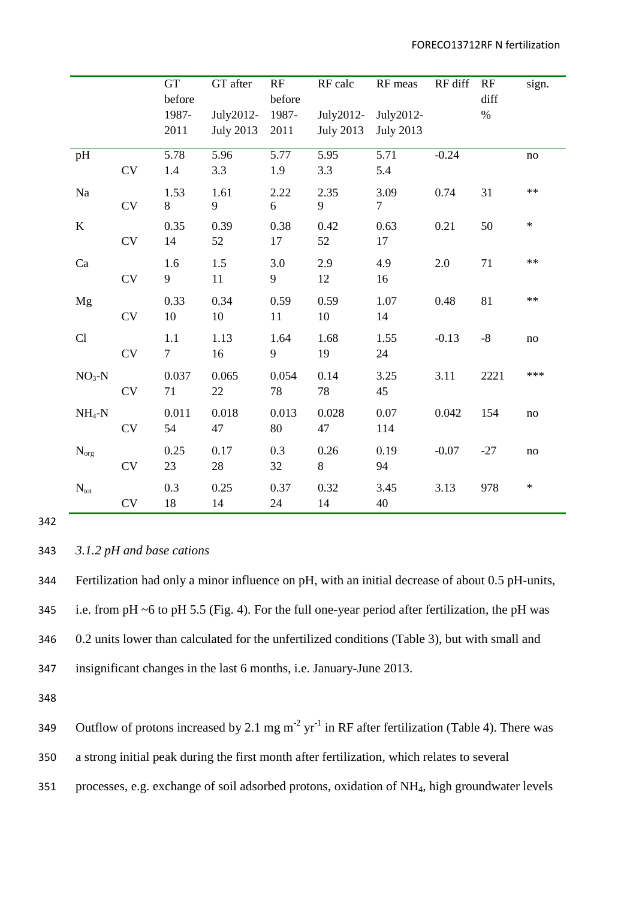|                    |            | <b>GT</b><br>before   | GT after                      | RF<br>before  | RF calc                       | RF meas                       | RF diff | RF<br>diff | sign.      |
|--------------------|------------|-----------------------|-------------------------------|---------------|-------------------------------|-------------------------------|---------|------------|------------|
|                    |            | 1987-<br>2011         | July2012-<br><b>July 2013</b> | 1987-<br>2011 | July2012-<br><b>July 2013</b> | July2012-<br><b>July 2013</b> |         | $\%$       |            |
| pH                 | CV         | 5.78<br>1.4           | 5.96<br>3.3                   | 5.77<br>1.9   | 5.95<br>3.3                   | 5.71<br>5.4                   | $-0.24$ |            | no         |
| Na                 | ${\rm CV}$ | 1.53<br>8             | 1.61<br>9                     | 2.22<br>6     | 2.35<br>9                     | 3.09<br>$\overline{7}$        | 0.74    | 31         | $\ast\ast$ |
| $\bf K$            | CV         | 0.35<br>14            | 0.39<br>52                    | 0.38<br>17    | 0.42<br>52                    | 0.63<br>17                    | 0.21    | 50         | $\ast$     |
| Ca                 | <b>CV</b>  | 1.6<br>9              | 1.5<br>11                     | 3.0<br>9      | 2.9<br>12                     | 4.9<br>16                     | 2.0     | 71         | $**$       |
| Mg                 | CV         | 0.33<br>10            | 0.34<br>$10\,$                | 0.59<br>11    | 0.59<br>10                    | 1.07<br>14                    | 0.48    | 81         | $\ast\ast$ |
| Cl                 | CV         | 1.1<br>$\overline{7}$ | 1.13<br>16                    | 1.64<br>9     | 1.68<br>19                    | 1.55<br>24                    | $-0.13$ | $-8$       | $\rm no$   |
| $NO3-N$            | CV         | 0.037<br>71           | 0.065<br>22                   | 0.054<br>78   | 0.14<br>78                    | 3.25<br>45                    | 3.11    | 2221       | ***        |
| $NH_4-N$           | <b>CV</b>  | 0.011<br>54           | 0.018<br>47                   | 0.013<br>80   | 0.028<br>47                   | 0.07<br>114                   | 0.042   | 154        | $\rm no$   |
| $N_{\mathrm{org}}$ | <b>CV</b>  | 0.25<br>23            | 0.17<br>28                    | 0.3<br>32     | 0.26<br>8                     | 0.19<br>94                    | $-0.07$ | $-27$      | $\rm no$   |
| $N_{\text{tot}}$   | CV         | 0.3<br>18             | 0.25<br>14                    | 0.37<br>24    | 0.32<br>14                    | 3.45<br>40                    | 3.13    | 978        | $\ast$     |

343 *3.1.2 pH and base cations*

 Fertilization had only a minor influence on pH, with an initial decrease of about 0.5 pH-units, i.e. from pH ~6 to pH 5.5 (Fig. 4). For the full one-year period after fertilization, the pH was 0.2 units lower than calculated for the unfertilized conditions (Table 3), but with small and insignificant changes in the last 6 months, i.e. January-June 2013.

348

349 Outflow of protons increased by 2.1 mg m<sup>-2</sup> yr<sup>-1</sup> in RF after fertilization (Table 4). There was 350 a strong initial peak during the first month after fertilization, which relates to several 351 processes, e.g. exchange of soil adsorbed protons, oxidation of NH4, high groundwater levels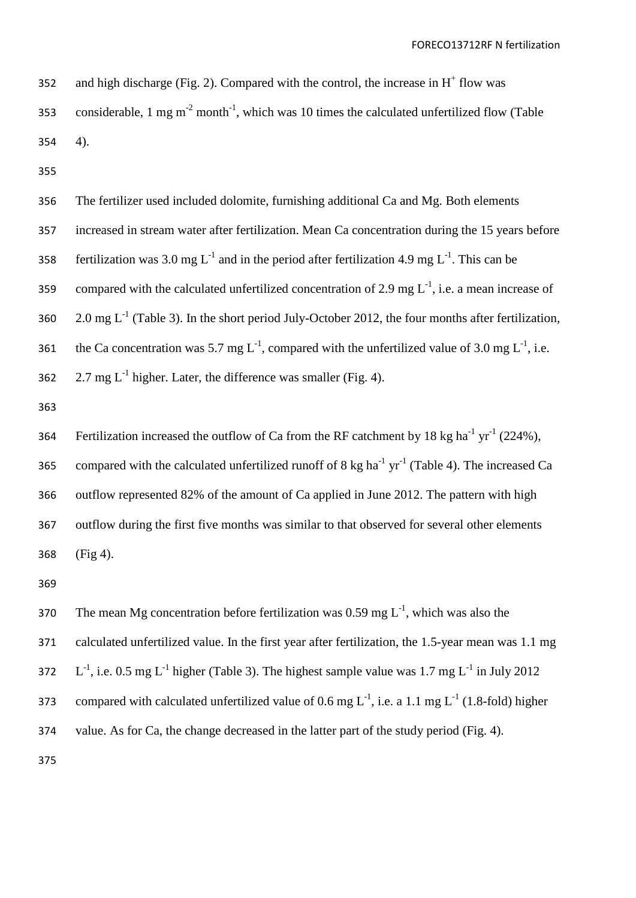352 and high discharge (Fig. 2). Compared with the control, the increase in  $H^+$  flow was 353 considerable, 1 mg m<sup>-2</sup> month<sup>-1</sup>, which was 10 times the calculated unfertilized flow (Table 354 4).

355

| 356 | The fertilizer used included dolomite, furnishing additional Ca and Mg. Both elements                                  |
|-----|------------------------------------------------------------------------------------------------------------------------|
| 357 | increased in stream water after fertilization. Mean Ca concentration during the 15 years before                        |
| 358 | fertilization was 3.0 mg $L^{-1}$ and in the period after fertilization 4.9 mg $L^{-1}$ . This can be                  |
| 359 | compared with the calculated unfertilized concentration of 2.9 mg $L^{-1}$ , i.e. a mean increase of                   |
| 360 | 2.0 mg $L^{-1}$ (Table 3). In the short period July-October 2012, the four months after fertilization,                 |
| 361 | the Ca concentration was 5.7 mg $L^{-1}$ , compared with the unfertilized value of 3.0 mg $L^{-1}$ , i.e.              |
| 362 | 2.7 mg $L^{-1}$ higher. Later, the difference was smaller (Fig. 4).                                                    |
| 363 |                                                                                                                        |
| 364 | Fertilization increased the outflow of Ca from the RF catchment by 18 kg ha <sup>-1</sup> yr <sup>-1</sup> (224%),     |
| 365 | compared with the calculated unfertilized runoff of 8 kg ha <sup>-1</sup> yr <sup>-1</sup> (Table 4). The increased Ca |
| 366 | outflow represented 82% of the amount of Ca applied in June 2012. The pattern with high                                |
| 367 | outflow during the first five months was similar to that observed for several other elements                           |
| 368 | $(Fig 4)$ .                                                                                                            |
| 369 |                                                                                                                        |
| 370 | The mean Mg concentration before fertilization was 0.59 mg $L^{-1}$ , which was also the                               |
| 371 | calculated unfertilized value. In the first year after fertilization, the 1.5-year mean was 1.1 mg                     |
| 372 | $L^{-1}$ , i.e. 0.5 mg $L^{-1}$ higher (Table 3). The highest sample value was 1.7 mg $L^{-1}$ in July 2012            |
| 373 | compared with calculated unfertilized value of 0.6 mg $L^{-1}$ , i.e. a 1.1 mg $L^{-1}$ (1.8-fold) higher              |
| 374 | value. As for Ca, the change decreased in the latter part of the study period (Fig. 4).                                |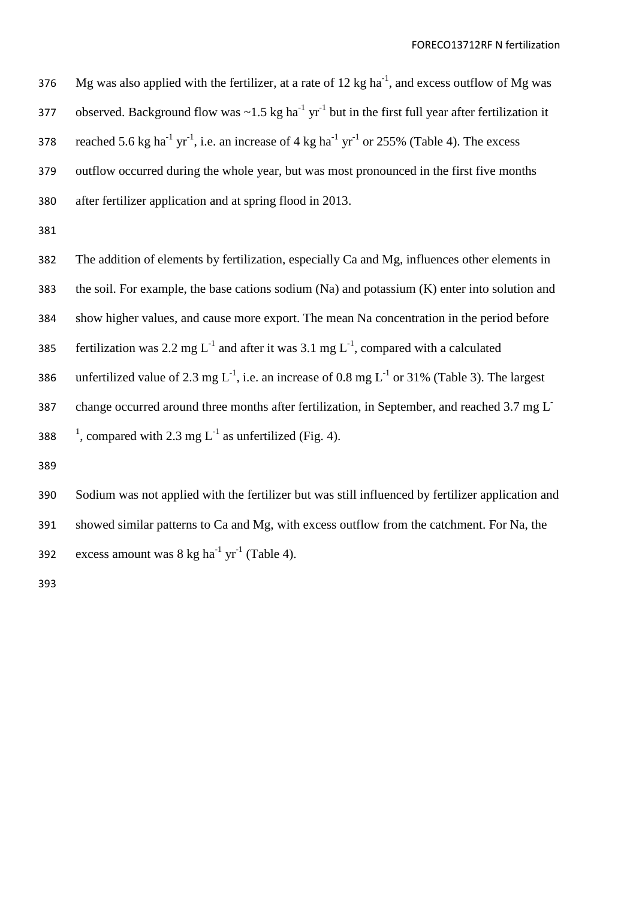376 Mg was also applied with the fertilizer, at a rate of 12 kg ha<sup>-1</sup>, and excess outflow of Mg was 377 observed. Background flow was  $\sim$ 1.5 kg ha<sup>-1</sup> yr<sup>-1</sup> but in the first full year after fertilization it 378 reached 5.6 kg ha<sup>-1</sup> yr<sup>-1</sup>, i.e. an increase of 4 kg ha<sup>-1</sup> yr<sup>-1</sup> or 255% (Table 4). The excess 379 outflow occurred during the whole year, but was most pronounced in the first five months 380 after fertilizer application and at spring flood in 2013.

381

382 The addition of elements by fertilization, especially Ca and Mg, influences other elements in 383 the soil. For example, the base cations sodium (Na) and potassium (K) enter into solution and 384 show higher values, and cause more export. The mean Na concentration in the period before 385 fertilization was 2.2 mg  $L^{-1}$  and after it was 3.1 mg  $L^{-1}$ , compared with a calculated 386 unfertilized value of 2.3 mg  $L^{-1}$ , i.e. an increase of 0.8 mg  $L^{-1}$  or 31% (Table 3). The largest change occurred around three months after fertilization, in September, and reached 3.7 mg L-387 388 <sup>1</sup>, compared with 2.3 mg  $L^{-1}$  as unfertilized (Fig. 4).

389

390 Sodium was not applied with the fertilizer but was still influenced by fertilizer application and 391 showed similar patterns to Ca and Mg, with excess outflow from the catchment. For Na, the 392 excess amount was  $8 \text{ kg ha}^{-1} \text{ yr}^{-1}$  (Table 4).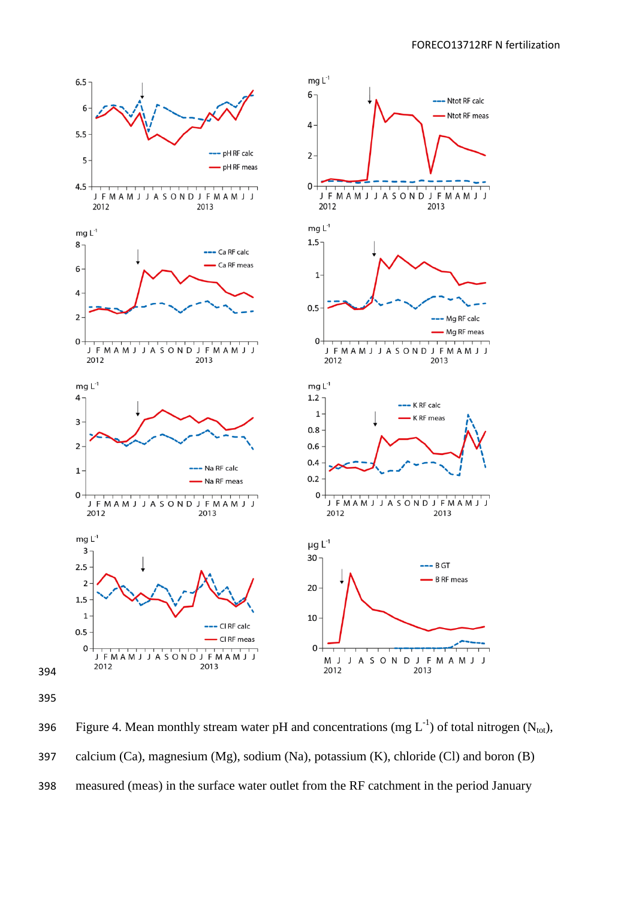

396 Figure 4. Mean monthly stream water pH and concentrations (mg  $L^{-1}$ ) of total nitrogen (N<sub>tot</sub>), calcium (Ca), magnesium (Mg), sodium (Na), potassium (K), chloride (Cl) and boron (B) measured (meas) in the surface water outlet from the RF catchment in the period January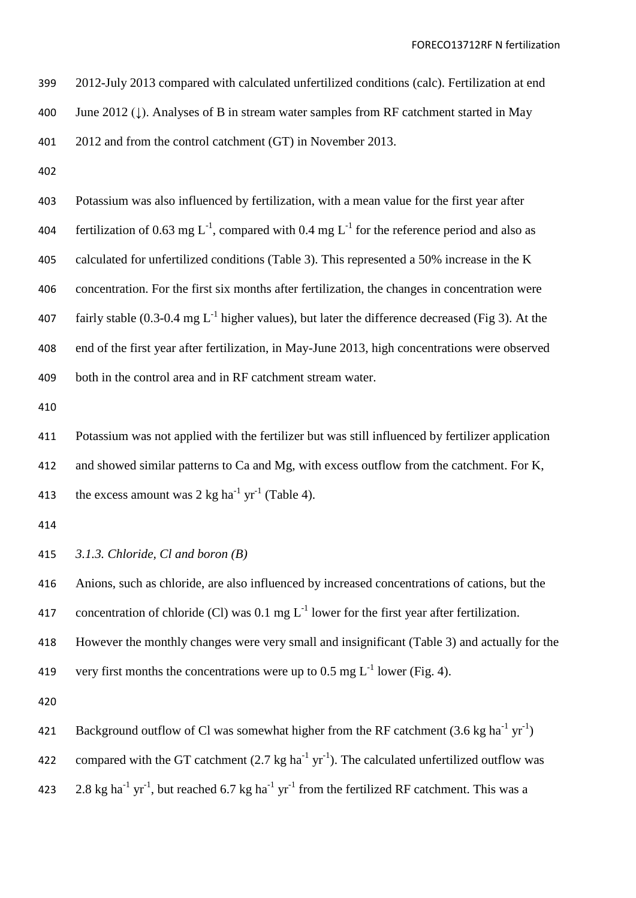2012-July 2013 compared with calculated unfertilized conditions (calc). Fertilization at end June 2012 (↓). Analyses of B in stream water samples from RF catchment started in May

2012 and from the control catchment (GT) in November 2013.

 Potassium was also influenced by fertilization, with a mean value for the first year after 404 fertilization of 0.63 mg L<sup>-1</sup>, compared with 0.4 mg L<sup>-1</sup> for the reference period and also as calculated for unfertilized conditions (Table 3). This represented a 50% increase in the K concentration. For the first six months after fertilization, the changes in concentration were 407 fairly stable (0.3-0.4 mg  $L^{-1}$  higher values), but later the difference decreased (Fig 3). At the end of the first year after fertilization, in May-June 2013, high concentrations were observed both in the control area and in RF catchment stream water.

 Potassium was not applied with the fertilizer but was still influenced by fertilizer application and showed similar patterns to Ca and Mg, with excess outflow from the catchment. For K, 413 the excess amount was 2 kg ha<sup>-1</sup> yr<sup>-1</sup> (Table 4).

*3.1.3. Chloride, Cl and boron (B)*

 Anions, such as chloride, are also influenced by increased concentrations of cations, but the 417 concentration of chloride (Cl) was 0.1 mg  $L^{-1}$  lower for the first year after fertilization. However the monthly changes were very small and insignificant (Table 3) and actually for the 419 very first months the concentrations were up to 0.5 mg  $L^{-1}$  lower (Fig. 4).

421 Background outflow of Cl was somewhat higher from the RF catchment  $(3.6 \text{ kg ha}^{-1} \text{ yr}^{-1})$ 

422 compared with the GT catchment  $(2.7 \text{ kg ha}^{-1} \text{ yr}^{-1})$ . The calculated unfertilized outflow was

423 2.8 kg ha<sup>-1</sup> yr<sup>-1</sup>, but reached 6.7 kg ha<sup>-1</sup> yr<sup>-1</sup> from the fertilized RF catchment. This was a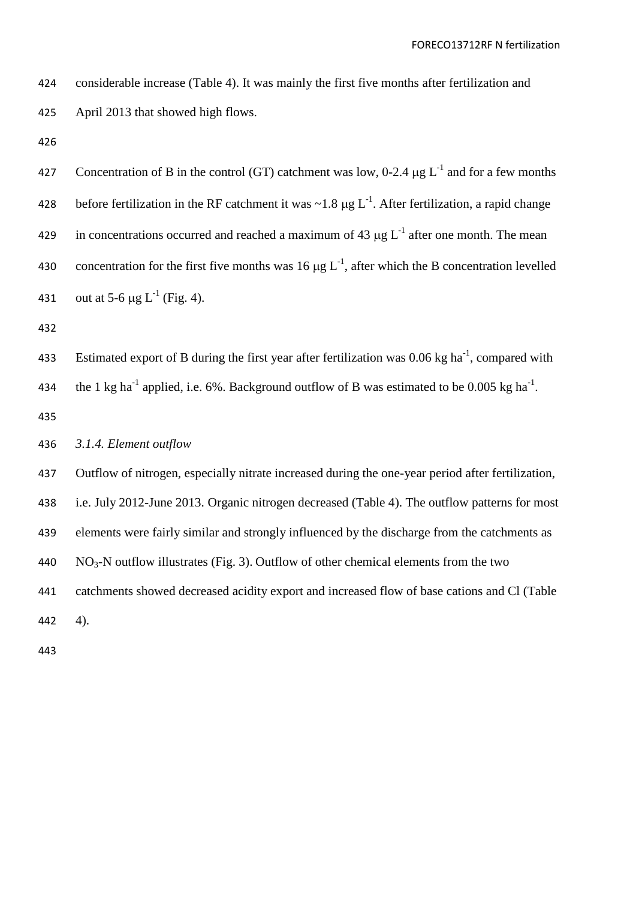| 424 | considerable increase (Table 4). It was mainly the first five months after fertilization and                        |
|-----|---------------------------------------------------------------------------------------------------------------------|
| 425 | April 2013 that showed high flows.                                                                                  |
| 426 |                                                                                                                     |
| 427 | Concentration of B in the control (GT) catchment was low, 0-2.4 $\mu$ g L <sup>-1</sup> and for a few months        |
| 428 | before fertilization in the RF catchment it was $\sim$ 1.8 µg L <sup>-1</sup> . After fertilization, a rapid change |
| 429 | in concentrations occurred and reached a maximum of 43 $\mu$ g L <sup>-1</sup> after one month. The mean            |
| 430 | concentration for the first five months was 16 $\mu$ g L <sup>-1</sup> , after which the B concentration levelled   |
| 431 | out at 5-6 $\mu$ g L <sup>-1</sup> (Fig. 4).                                                                        |
| 432 |                                                                                                                     |
| 433 | Estimated export of B during the first year after fertilization was 0.06 kg ha <sup>-1</sup> , compared with        |
| 434 | the 1 kg ha <sup>-1</sup> applied, i.e. 6%. Background outflow of B was estimated to be 0.005 kg ha <sup>-1</sup> . |
| 435 |                                                                                                                     |
| 436 | 3.1.4. Element outflow                                                                                              |
| 437 | Outflow of nitrogen, especially nitrate increased during the one-year period after fertilization,                   |
| 438 | i.e. July 2012-June 2013. Organic nitrogen decreased (Table 4). The outflow patterns for most                       |
| 439 | elements were fairly similar and strongly influenced by the discharge from the catchments as                        |
| 440 | $NO3$ -N outflow illustrates (Fig. 3). Outflow of other chemical elements from the two                              |
| 441 | catchments showed decreased acidity export and increased flow of base cations and Cl (Table                         |
| 442 | 4).                                                                                                                 |
|     |                                                                                                                     |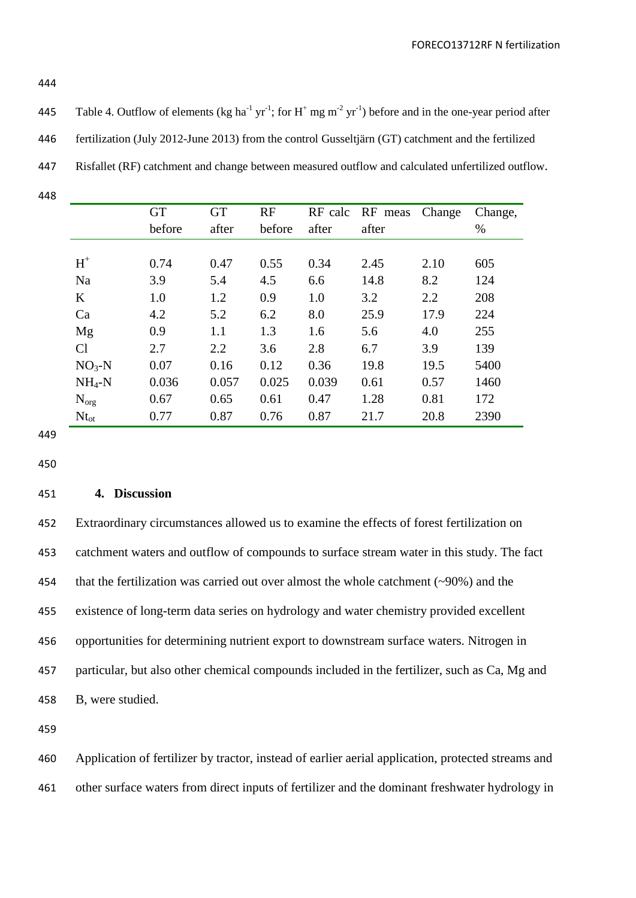445 Table 4. Outflow of elements (kg ha<sup>-1</sup> yr<sup>-1</sup>; for H<sup>+</sup> mg m<sup>-2</sup> yr<sup>-1</sup>) before and in the one-year period after

| 446 |  | fertilization (July 2012-June 2013) from the control Gusseltjärn (GT) catchment and the fertilized |
|-----|--|----------------------------------------------------------------------------------------------------|
|-----|--|----------------------------------------------------------------------------------------------------|

- 447 Risfallet (RF) catchment and change between measured outflow and calculated unfertilized outflow.
- 448

|           | <b>GT</b> | <b>GT</b> | RF     |       | RF calc RF meas Change |      | Change, |
|-----------|-----------|-----------|--------|-------|------------------------|------|---------|
|           | before    | after     | before | after | after                  |      | $\%$    |
|           |           |           |        |       |                        |      |         |
| $H^+$     | 0.74      | 0.47      | 0.55   | 0.34  | 2.45                   | 2.10 | 605     |
| Na        | 3.9       | 5.4       | 4.5    | 6.6   | 14.8                   | 8.2  | 124     |
| $\bf K$   | 1.0       | 1.2       | 0.9    | 1.0   | 3.2                    | 2.2  | 208     |
| Ca        | 4.2       | 5.2       | 6.2    | 8.0   | 25.9                   | 17.9 | 224     |
| Mg        | 0.9       | 1.1       | 1.3    | 1.6   | 5.6                    | 4.0  | 255     |
| Cl        | 2.7       | 2.2       | 3.6    | 2.8   | 6.7                    | 3.9  | 139     |
| $NO3-N$   | 0.07      | 0.16      | 0.12   | 0.36  | 19.8                   | 19.5 | 5400    |
| $NH_4-N$  | 0.036     | 0.057     | 0.025  | 0.039 | 0.61                   | 0.57 | 1460    |
| $N_{org}$ | 0.67      | 0.65      | 0.61   | 0.47  | 1.28                   | 0.81 | 172     |
| $Nt_{ot}$ | 0.77      | 0.87      | 0.76   | 0.87  | 21.7                   | 20.8 | 2390    |

449

450

## 451 **4. Discussion**

 Extraordinary circumstances allowed us to examine the effects of forest fertilization on catchment waters and outflow of compounds to surface stream water in this study. The fact that the fertilization was carried out over almost the whole catchment (~90%) and the existence of long-term data series on hydrology and water chemistry provided excellent opportunities for determining nutrient export to downstream surface waters. Nitrogen in particular, but also other chemical compounds included in the fertilizer, such as Ca, Mg and B, were studied.

459

460 Application of fertilizer by tractor, instead of earlier aerial application, protected streams and 461 other surface waters from direct inputs of fertilizer and the dominant freshwater hydrology in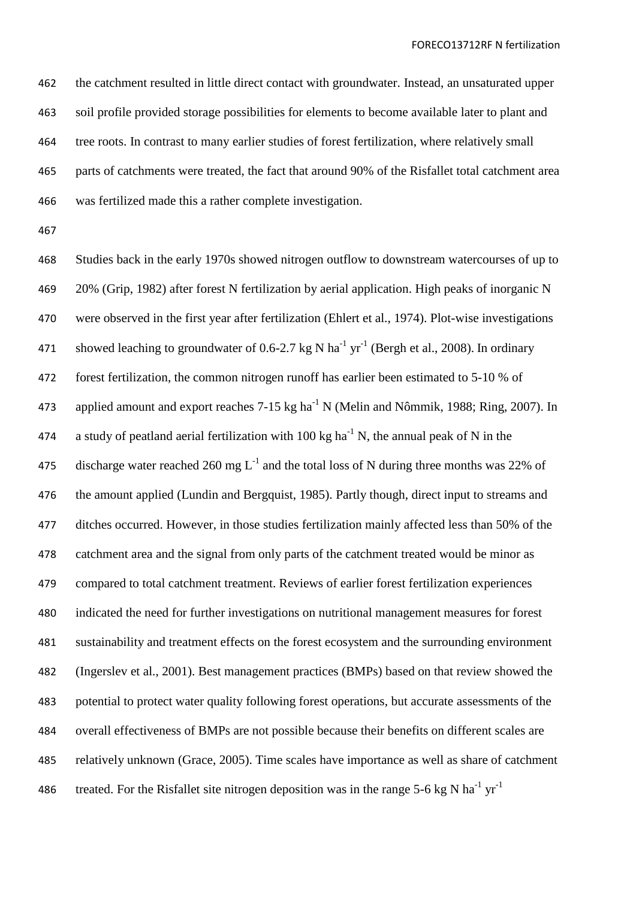the catchment resulted in little direct contact with groundwater. Instead, an unsaturated upper soil profile provided storage possibilities for elements to become available later to plant and tree roots. In contrast to many earlier studies of forest fertilization, where relatively small parts of catchments were treated, the fact that around 90% of the Risfallet total catchment area was fertilized made this a rather complete investigation.

 Studies back in the early 1970s showed nitrogen outflow to downstream watercourses of up to 20% (Grip, 1982) after forest N fertilization by aerial application. High peaks of inorganic N were observed in the first year after fertilization (Ehlert et al., 1974). Plot-wise investigations 471 showed leaching to groundwater of 0.6-2.7 kg N ha<sup>-1</sup> yr<sup>-1</sup> (Bergh et al., 2008). In ordinary forest fertilization, the common nitrogen runoff has earlier been estimated to 5-10 % of 473 applied amount and export reaches 7-15 kg ha<sup>-1</sup> N (Melin and Nômmik, 1988; Ring, 2007). In 474 a study of peatland aerial fertilization with 100 kg ha<sup>-1</sup> N, the annual peak of N in the 475 discharge water reached 260 mg  $L^{-1}$  and the total loss of N during three months was 22% of the amount applied (Lundin and Bergquist, 1985). Partly though, direct input to streams and ditches occurred. However, in those studies fertilization mainly affected less than 50% of the catchment area and the signal from only parts of the catchment treated would be minor as compared to total catchment treatment. Reviews of earlier forest fertilization experiences indicated the need for further investigations on nutritional management measures for forest sustainability and treatment effects on the forest ecosystem and the surrounding environment (Ingerslev et al., 2001). Best management practices (BMPs) based on that review showed the potential to protect water quality following forest operations, but accurate assessments of the overall effectiveness of BMPs are not possible because their benefits on different scales are relatively unknown (Grace, 2005). Time scales have importance as well as share of catchment treated. For the Risfallet site nitrogen deposition was in the range 5-6 kg N ha<sup>-1</sup> yr<sup>-1</sup>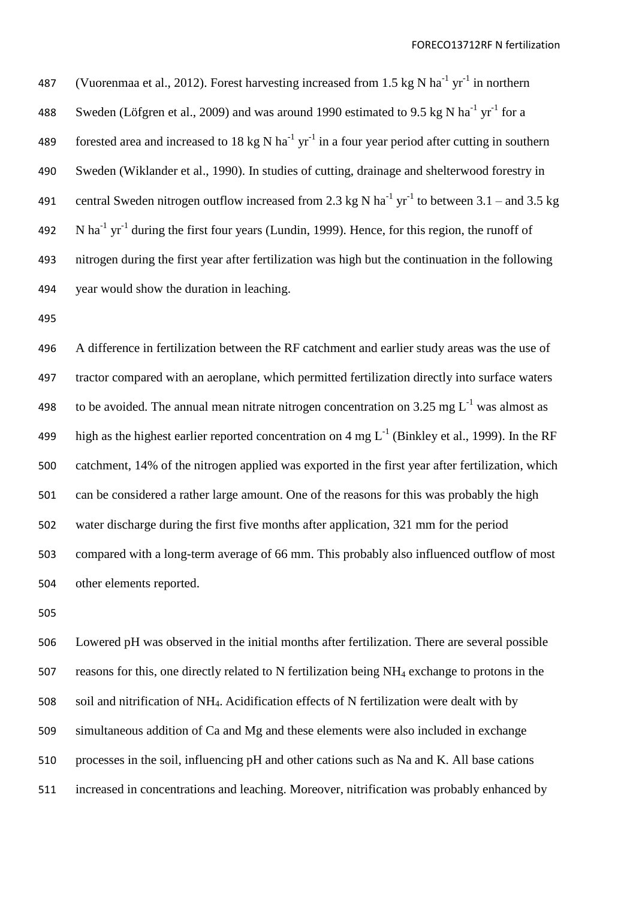FORECO13712RF N fertilization

487 (Vuorenmaa et al., 2012). Forest harvesting increased from 1.5 kg N ha<sup>-1</sup> yr<sup>-1</sup> in northern 488 Sweden (Löfgren et al., 2009) and was around 1990 estimated to 9.5 kg N ha<sup>-1</sup> yr<sup>-1</sup> for a 489 forested area and increased to 18 kg N ha<sup>-1</sup> yr<sup>-1</sup> in a four year period after cutting in southern Sweden (Wiklander et al., 1990). In studies of cutting, drainage and shelterwood forestry in 491 central Sweden nitrogen outflow increased from 2.3 kg N ha<sup>-1</sup> yr<sup>-1</sup> to between 3.1 – and 3.5 kg 492 N ha<sup>-1</sup> yr<sup>-1</sup> during the first four years (Lundin, 1999). Hence, for this region, the runoff of nitrogen during the first year after fertilization was high but the continuation in the following year would show the duration in leaching.

 A difference in fertilization between the RF catchment and earlier study areas was the use of tractor compared with an aeroplane, which permitted fertilization directly into surface waters 498 to be avoided. The annual mean nitrate nitrogen concentration on 3.25 mg  $L^{-1}$  was almost as 499 high as the highest earlier reported concentration on 4 mg  $L^{-1}$  (Binkley et al., 1999). In the RF catchment, 14% of the nitrogen applied was exported in the first year after fertilization, which can be considered a rather large amount. One of the reasons for this was probably the high water discharge during the first five months after application, 321 mm for the period compared with a long-term average of 66 mm. This probably also influenced outflow of most other elements reported.

 Lowered pH was observed in the initial months after fertilization. There are several possible reasons for this, one directly related to N fertilization being NH<sup>4</sup> exchange to protons in the soil and nitrification of NH4. Acidification effects of N fertilization were dealt with by simultaneous addition of Ca and Mg and these elements were also included in exchange processes in the soil, influencing pH and other cations such as Na and K. All base cations increased in concentrations and leaching. Moreover, nitrification was probably enhanced by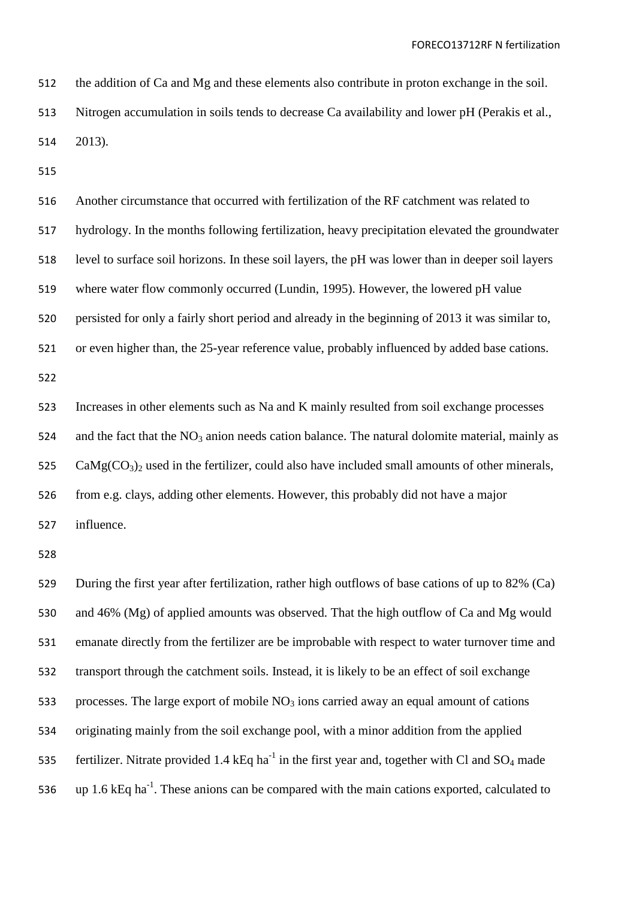the addition of Ca and Mg and these elements also contribute in proton exchange in the soil. Nitrogen accumulation in soils tends to decrease Ca availability and lower pH (Perakis et al., 2013).

 Another circumstance that occurred with fertilization of the RF catchment was related to hydrology. In the months following fertilization, heavy precipitation elevated the groundwater level to surface soil horizons. In these soil layers, the pH was lower than in deeper soil layers where water flow commonly occurred (Lundin, 1995). However, the lowered pH value persisted for only a fairly short period and already in the beginning of 2013 it was similar to, or even higher than, the 25-year reference value, probably influenced by added base cations. 

 Increases in other elements such as Na and K mainly resulted from soil exchange processes 524 and the fact that the  $NO<sub>3</sub>$  anion needs cation balance. The natural dolomite material, mainly as CaMg(CO<sub>3</sub>)<sub>2</sub> used in the fertilizer, could also have included small amounts of other minerals, from e.g. clays, adding other elements. However, this probably did not have a major influence.

 During the first year after fertilization, rather high outflows of base cations of up to 82% (Ca) and 46% (Mg) of applied amounts was observed. That the high outflow of Ca and Mg would emanate directly from the fertilizer are be improbable with respect to water turnover time and transport through the catchment soils. Instead, it is likely to be an effect of soil exchange 533 processes. The large export of mobile  $NO<sub>3</sub>$  ions carried away an equal amount of cations originating mainly from the soil exchange pool, with a minor addition from the applied 535 fertilizer. Nitrate provided 1.4 kEq ha<sup>-1</sup> in the first year and, together with Cl and  $SO_4$  made  $\mu$  up 1.6 kEq ha<sup>-1</sup>. These anions can be compared with the main cations exported, calculated to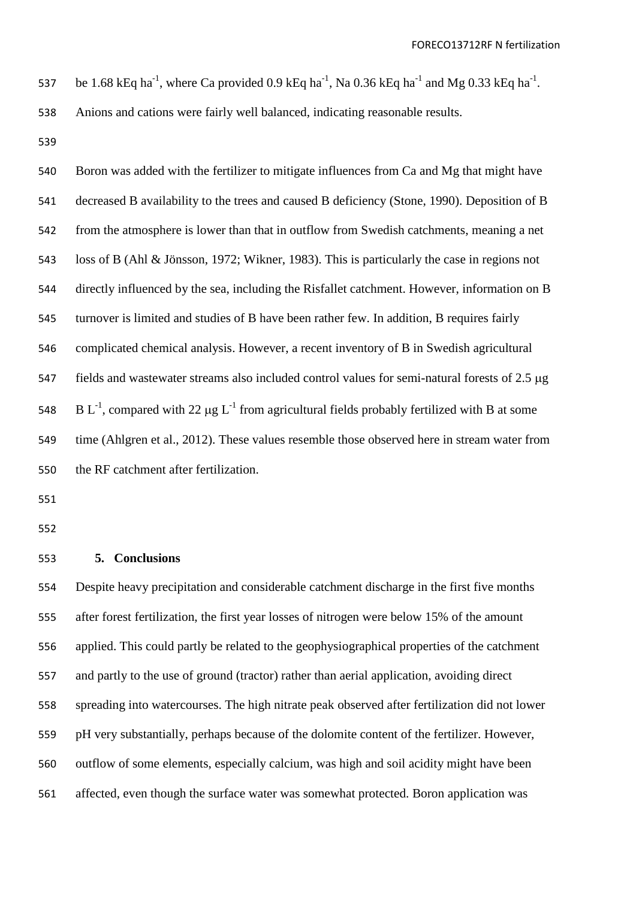537 be 1.68 kEq ha<sup>-1</sup>, where Ca provided 0.9 kEq ha<sup>-1</sup>, Na 0.36 kEq ha<sup>-1</sup> and Mg 0.33 kEq ha<sup>-1</sup>.

Anions and cations were fairly well balanced, indicating reasonable results.

 Boron was added with the fertilizer to mitigate influences from Ca and Mg that might have decreased B availability to the trees and caused B deficiency (Stone, 1990). Deposition of B from the atmosphere is lower than that in outflow from Swedish catchments, meaning a net loss of B (Ahl & Jönsson, 1972; Wikner, 1983). This is particularly the case in regions not directly influenced by the sea, including the Risfallet catchment. However, information on B turnover is limited and studies of B have been rather few. In addition, B requires fairly complicated chemical analysis. However, a recent inventory of B in Swedish agricultural 547 fields and wastewater streams also included control values for semi-natural forests of 2.5 µg 548 B L<sup>-1</sup>, compared with 22  $\mu$ g L<sup>-1</sup> from agricultural fields probably fertilized with B at some time (Ahlgren et al., 2012). These values resemble those observed here in stream water from the RF catchment after fertilization.

### **5. Conclusions**

 Despite heavy precipitation and considerable catchment discharge in the first five months after forest fertilization, the first year losses of nitrogen were below 15% of the amount applied. This could partly be related to the geophysiographical properties of the catchment and partly to the use of ground (tractor) rather than aerial application, avoiding direct spreading into watercourses. The high nitrate peak observed after fertilization did not lower pH very substantially, perhaps because of the dolomite content of the fertilizer. However, outflow of some elements, especially calcium, was high and soil acidity might have been affected, even though the surface water was somewhat protected. Boron application was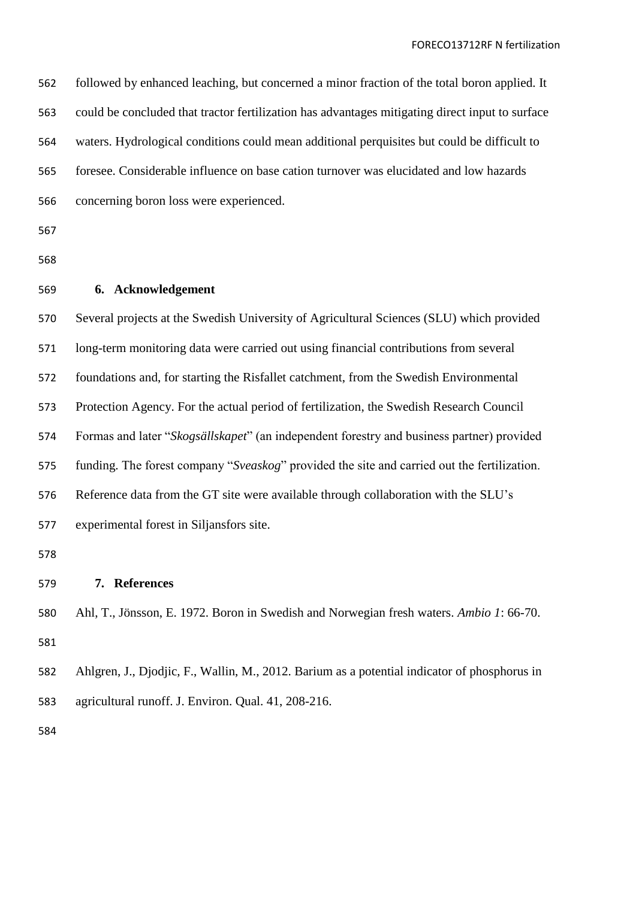| 562 | followed by enhanced leaching, but concerned a minor fraction of the total boron applied. It    |
|-----|-------------------------------------------------------------------------------------------------|
| 563 | could be concluded that tractor fertilization has advantages mitigating direct input to surface |
| 564 | waters. Hydrological conditions could mean additional perquisites but could be difficult to     |
| 565 | foresee. Considerable influence on base cation turnover was elucidated and low hazards          |
| 566 | concerning boron loss were experienced.                                                         |
| 567 |                                                                                                 |
| 568 |                                                                                                 |
| 569 | 6. Acknowledgement                                                                              |
| 570 | Several projects at the Swedish University of Agricultural Sciences (SLU) which provided        |
| 571 | long-term monitoring data were carried out using financial contributions from several           |
| 572 | foundations and, for starting the Risfallet catchment, from the Swedish Environmental           |
| 573 | Protection Agency. For the actual period of fertilization, the Swedish Research Council         |
| 574 | Formas and later "Skogsällskapet" (an independent forestry and business partner) provided       |
| 575 | funding. The forest company "Sveaskog" provided the site and carried out the fertilization.     |
| 576 | Reference data from the GT site were available through collaboration with the SLU's             |
| 577 | experimental forest in Siljansfors site.                                                        |
| 578 |                                                                                                 |
| 579 | <b>References</b><br>7.                                                                         |
| 580 | Ahl, T., Jönsson, E. 1972. Boron in Swedish and Norwegian fresh waters. Ambio 1: 66-70.         |
| 581 |                                                                                                 |
| 582 | Ahlgren, J., Djodjic, F., Wallin, M., 2012. Barium as a potential indicator of phosphorus in    |
| 583 | agricultural runoff. J. Environ. Qual. 41, 208-216.                                             |
| 584 |                                                                                                 |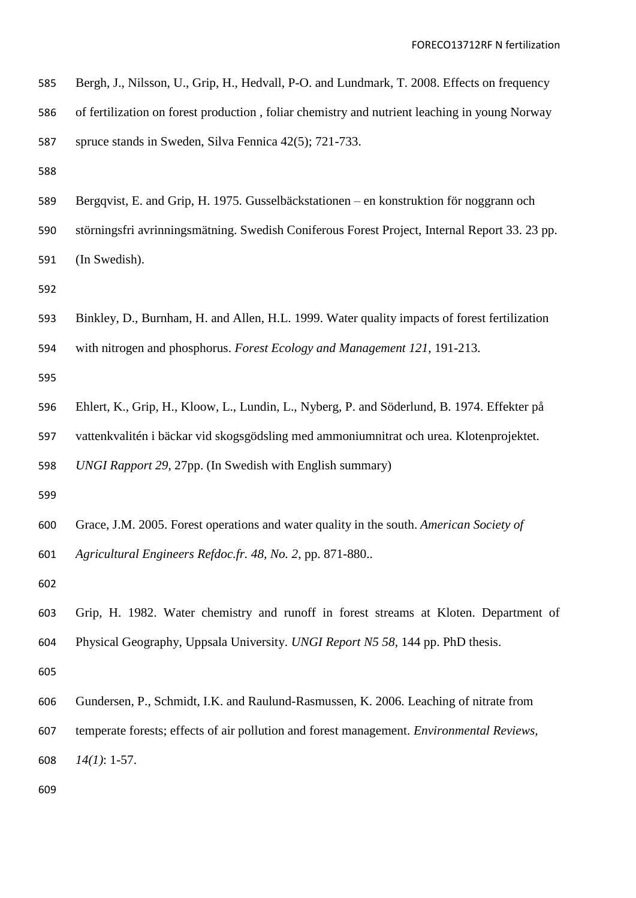| 585 | Bergh, J., Nilsson, U., Grip, H., Hedvall, P-O. and Lundmark, T. 2008. Effects on frequency   |
|-----|-----------------------------------------------------------------------------------------------|
| 586 | of fertilization on forest production, foliar chemistry and nutrient leaching in young Norway |
| 587 | spruce stands in Sweden, Silva Fennica 42(5); 721-733.                                        |
| 588 |                                                                                               |
| 589 | Bergqvist, E. and Grip, H. 1975. Gusselbäckstationen – en konstruktion för noggrann och       |
| 590 | störningsfri avrinningsmätning. Swedish Coniferous Forest Project, Internal Report 33. 23 pp. |
| 591 | (In Swedish).                                                                                 |
| 592 |                                                                                               |
| 593 | Binkley, D., Burnham, H. and Allen, H.L. 1999. Water quality impacts of forest fertilization  |
| 594 | with nitrogen and phosphorus. Forest Ecology and Management 121, 191-213.                     |
| 595 |                                                                                               |
| 596 | Ehlert, K., Grip, H., Kloow, L., Lundin, L., Nyberg, P. and Söderlund, B. 1974. Effekter på   |
| 597 | vattenkvalitén i bäckar vid skogsgödsling med ammoniumnitrat och urea. Klotenprojektet.       |
| 598 | UNGI Rapport 29, 27pp. (In Swedish with English summary)                                      |
| 599 |                                                                                               |
| 600 | Grace, J.M. 2005. Forest operations and water quality in the south. American Society of       |
| 601 | Agricultural Engineers Refdoc.fr. 48, No. 2, pp. 871-880                                      |
| 602 |                                                                                               |
| 603 | Grip, H. 1982. Water chemistry and runoff in forest streams at Kloten. Department of          |
| 604 | Physical Geography, Uppsala University. UNGI Report N5 58, 144 pp. PhD thesis.                |
| 605 |                                                                                               |
| 606 | Gundersen, P., Schmidt, I.K. and Raulund-Rasmussen, K. 2006. Leaching of nitrate from         |
| 607 | temperate forests; effects of air pollution and forest management. Environmental Reviews,     |
| 608 | $14(1): 1-57.$                                                                                |
| 609 |                                                                                               |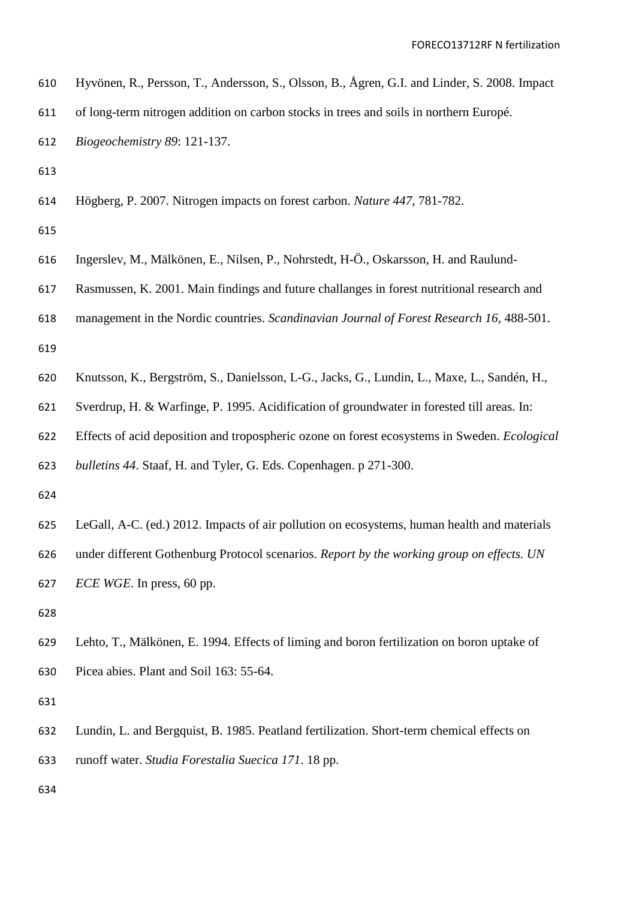| 610 | Hyvönen, R., Persson, T., Andersson, S., Olsson, B., Ågren, G.I. and Linder, S. 2008. Impact        |
|-----|-----------------------------------------------------------------------------------------------------|
| 611 | of long-term nitrogen addition on carbon stocks in trees and soils in northern Europé.              |
| 612 | Biogeochemistry 89: 121-137.                                                                        |
| 613 |                                                                                                     |
| 614 | Högberg, P. 2007. Nitrogen impacts on forest carbon. Nature 447, 781-782.                           |
| 615 |                                                                                                     |
| 616 | Ingerslev, M., Mälkönen, E., Nilsen, P., Nohrstedt, H-Ö., Oskarsson, H. and Raulund-                |
| 617 | Rasmussen, K. 2001. Main findings and future challanges in forest nutritional research and          |
| 618 | management in the Nordic countries. Scandinavian Journal of Forest Research 16, 488-501.            |
| 619 |                                                                                                     |
| 620 | Knutsson, K., Bergström, S., Danielsson, L-G., Jacks, G., Lundin, L., Maxe, L., Sandén, H.,         |
| 621 | Sverdrup, H. & Warfinge, P. 1995. Acidification of groundwater in forested till areas. In:          |
| 622 | Effects of acid deposition and tropospheric ozone on forest ecosystems in Sweden. <i>Ecological</i> |
| 623 | bulletins 44. Staaf, H. and Tyler, G. Eds. Copenhagen. p 271-300.                                   |
| 624 |                                                                                                     |
| 625 | LeGall, A-C. (ed.) 2012. Impacts of air pollution on ecosystems, human health and materials         |
| 626 | under different Gothenburg Protocol scenarios. Report by the working group on effects. UN           |
| 627 | <i>ECE WGE</i> . In press, 60 pp.                                                                   |
| 628 |                                                                                                     |
| 629 | Lehto, T., Mälkönen, E. 1994. Effects of liming and boron fertilization on boron uptake of          |
| 630 | Picea abies. Plant and Soil 163: 55-64.                                                             |
| 631 |                                                                                                     |
| 632 | Lundin, L. and Bergquist, B. 1985. Peatland fertilization. Short-term chemical effects on           |
| 633 | runoff water. Studia Forestalia Suecica 171. 18 pp.                                                 |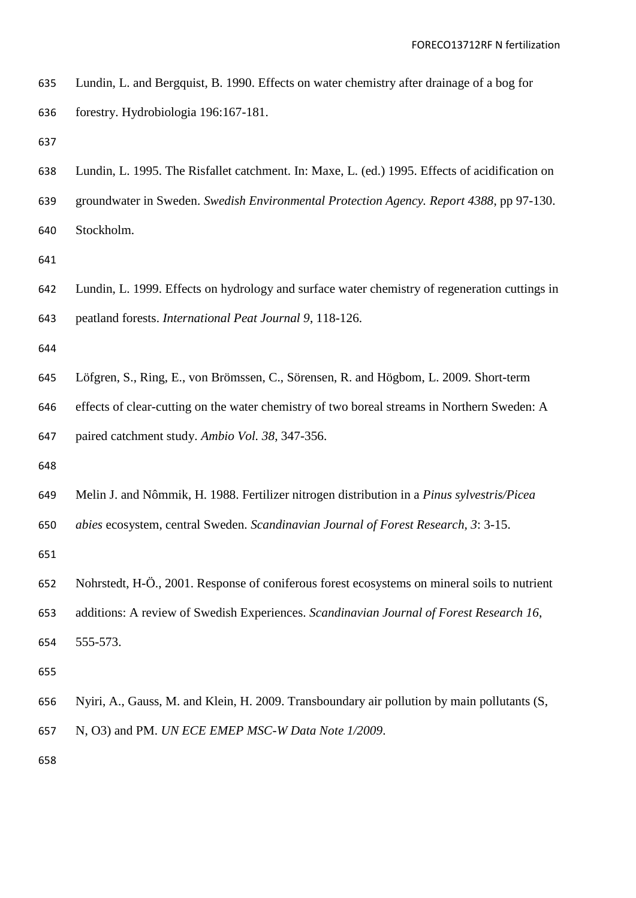| 635 | Lundin, L. and Bergquist, B. 1990. Effects on water chemistry after drainage of a bog for |
|-----|-------------------------------------------------------------------------------------------|
| 636 | forestry. Hydrobiologia 196:167-181.                                                      |

Lundin, L. 1995. The Risfallet catchment. In: Maxe, L. (ed.) 1995. Effects of acidification on

groundwater in Sweden. *Swedish Environmental Protection Agency. Report 4388*, pp 97-130.

Stockholm.

 Lundin, L. 1999. Effects on hydrology and surface water chemistry of regeneration cuttings in peatland forests. *International Peat Journal 9*, 118-126.

Löfgren, S., Ring, E., von Brömssen, C., Sörensen, R. and Högbom, L. 2009. Short-term

effects of clear-cutting on the water chemistry of two boreal streams in Northern Sweden: A

paired catchment study. *Ambio Vol. 38*, 347-356.

Melin J. and Nômmik, H. 1988. Fertilizer nitrogen distribution in a *Pinus sylvestris/Picea* 

*abies* ecosystem, central Sweden. *Scandinavian Journal of Forest Research, 3*: 3-15.

- Nohrstedt, H-Ö., 2001. Response of coniferous forest ecosystems on mineral soils to nutrient
- additions: A review of Swedish Experiences. *Scandinavian Journal of Forest Research 16*,
- 555-573.

 Nyiri, A., Gauss, M. and Klein, H. 2009. Transboundary air pollution by main pollutants (S, N, O3) and PM. *UN ECE EMEP MSC-W Data Note 1/2009*.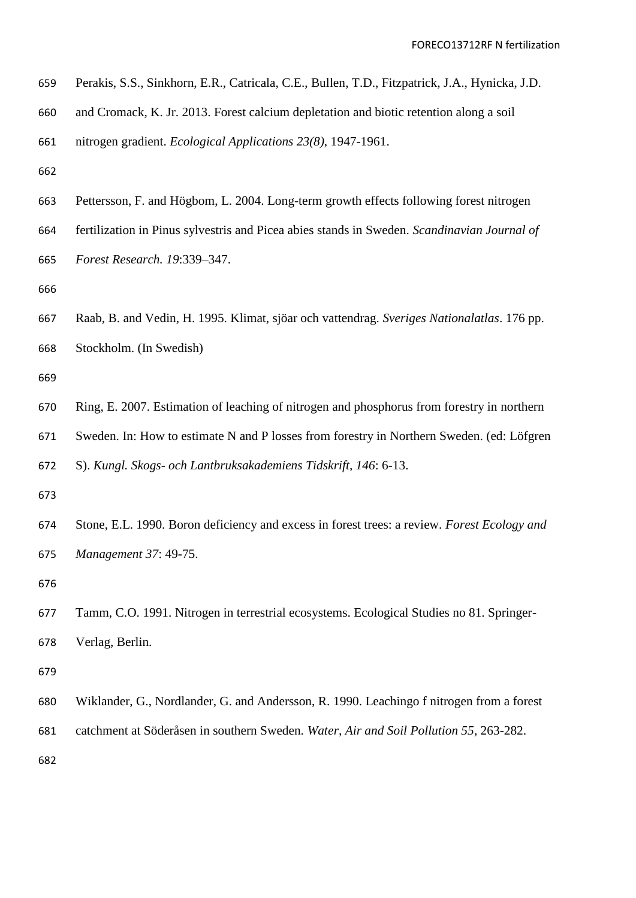|  | 659 Perakis, S.S., Sinkhorn, E.R., Catricala, C.E., Bullen, T.D., Fitzpatrick, J.A., Hynicka, J.D. |  |  |  |  |  |  |  |  |  |  |
|--|----------------------------------------------------------------------------------------------------|--|--|--|--|--|--|--|--|--|--|
|--|----------------------------------------------------------------------------------------------------|--|--|--|--|--|--|--|--|--|--|

and Cromack, K. Jr. 2013. Forest calcium depletation and biotic retention along a soil

- Pettersson, F. and Högbom, L. 2004. Long-term growth effects following forest nitrogen
- fertilization in Pinus sylvestris and Picea abies stands in Sweden. *Scandinavian Journal of Forest Research. 19*:339–347.

 Raab, B. and Vedin, H. 1995. Klimat, sjöar och vattendrag. *Sveriges Nationalatlas*. 176 pp. Stockholm. (In Swedish)

 Ring, E. 2007. Estimation of leaching of nitrogen and phosphorus from forestry in northern Sweden. In: How to estimate N and P losses from forestry in Northern Sweden. (ed: Löfgren S). *Kungl. Skogs- och Lantbruksakademiens Tidskrift, 146*: 6-13.

 Stone, E.L. 1990. Boron deficiency and excess in forest trees: a review. *Forest Ecology and Management 37*: 49-75.

 Tamm, C.O. 1991. Nitrogen in terrestrial ecosystems. Ecological Studies no 81. Springer-Verlag, Berlin.

- Wiklander, G., Nordlander, G. and Andersson, R. 1990. Leachingo f nitrogen from a forest
- catchment at Söderåsen in southern Sweden. *Water, Air and Soil Pollution 55*, 263-282.

nitrogen gradient. *Ecological Applications 23(8)*, 1947-1961.